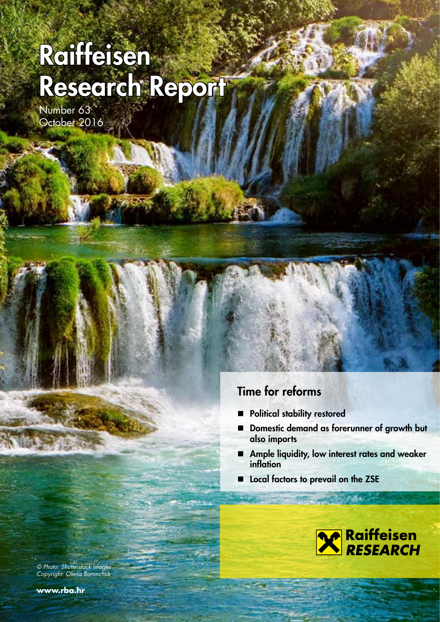# Raiffeisen Research Report

Number 63 October 2016

### Time for reforms

- **Political stability restored**
- Domestic demand as forerunner of growth but also imports
- **Ample liquidity, low interest rates and weaker** inflation
- Local factors to prevail on the ZSE



© Photo: Shutterstock Images Copyright: Olena Boronchuk

**www.rba.hr**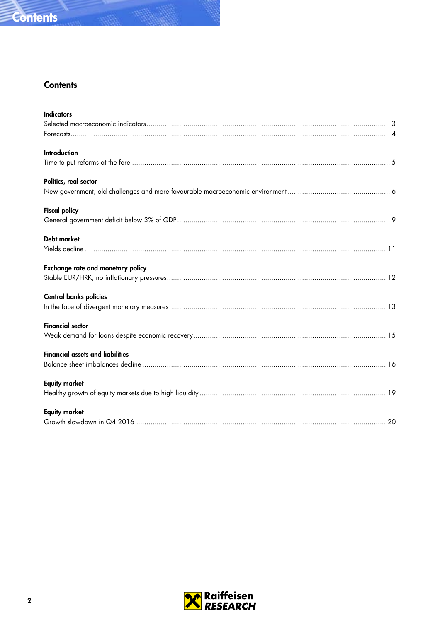

### **Contents**

| <b>Introduction</b><br>Politics, real sector<br><b>Fiscal policy</b><br>Debt market<br><b>Exchange rate and monetary policy</b><br><b>Central banks policies</b><br><b>Financial sector</b><br><b>Financial assets and liabilities</b><br><b>Equity market</b> | <b>Indicators</b> |
|----------------------------------------------------------------------------------------------------------------------------------------------------------------------------------------------------------------------------------------------------------------|-------------------|
|                                                                                                                                                                                                                                                                |                   |
|                                                                                                                                                                                                                                                                |                   |
|                                                                                                                                                                                                                                                                |                   |
|                                                                                                                                                                                                                                                                |                   |
|                                                                                                                                                                                                                                                                |                   |
|                                                                                                                                                                                                                                                                |                   |
|                                                                                                                                                                                                                                                                |                   |
|                                                                                                                                                                                                                                                                |                   |
|                                                                                                                                                                                                                                                                |                   |
|                                                                                                                                                                                                                                                                |                   |
|                                                                                                                                                                                                                                                                |                   |
|                                                                                                                                                                                                                                                                |                   |
|                                                                                                                                                                                                                                                                |                   |
|                                                                                                                                                                                                                                                                |                   |
|                                                                                                                                                                                                                                                                |                   |
|                                                                                                                                                                                                                                                                |                   |
|                                                                                                                                                                                                                                                                |                   |
|                                                                                                                                                                                                                                                                |                   |
|                                                                                                                                                                                                                                                                |                   |
|                                                                                                                                                                                                                                                                |                   |
| <b>Equity market</b>                                                                                                                                                                                                                                           |                   |
|                                                                                                                                                                                                                                                                |                   |

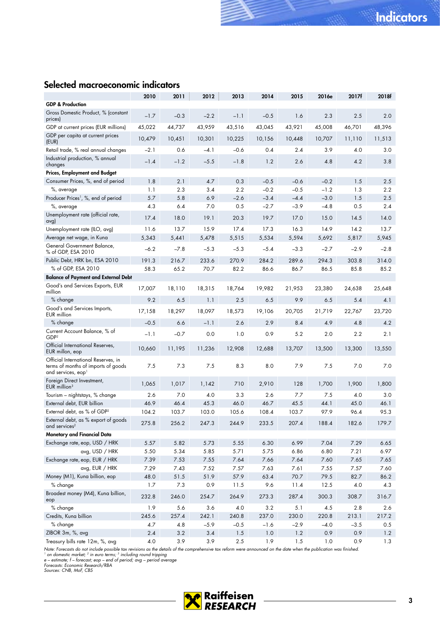### <span id="page-2-0"></span>Selected macroeconomic indicators

| <b>GDP &amp; Production</b><br>Gross Domestic Product, % (constant<br>2.5<br>$-1.7$<br>$-0.3$<br>$-2.2$<br>$-0.5$<br>1.6<br>2.3<br>2.0<br>$-1.1$<br>prices)<br>44,737<br>43,959<br>43,045<br>43,921<br>48,396<br>GDP at current prices (EUR millions)<br>45,022<br>43,516<br>45,008<br>46,701<br>GDP per capita at current prices<br>10,479<br>10,451<br>10,301<br>10,225<br>10,156<br>10,707<br>11,513<br>10,448<br>11,110<br>(EUR)<br>3.9<br>Retail trade, % real annual changes<br>$-2.1$<br>0.6<br>-4.1<br>$-0.6$<br>0.4<br>2.4<br>4.0<br>3.0<br>Industrial production, % annual<br>$-1.4$<br>$-1.8$<br>2.6<br>$-1.2$<br>$-5.5$<br>1.2<br>4.8<br>4.2<br>3.8<br>changes<br><b>Prices, Employment and Budget</b><br>Consumer Prices, %, end of period<br>1.8<br>2.1<br>4.7<br>0.3<br>$-0.5$<br>$-0.2$<br>$-0.6$<br>1.5<br>2.5<br>2.3<br>1.3<br>1.1<br>3.4<br>2.2<br>$-0.2$<br>$-0.5$<br>$-1.2$<br>2.2<br>%, average<br>5.7<br>5.8<br>6.9<br>$-2.6$<br>$-3.4$<br>$-4.4$<br>$-3.0$<br>1.5<br>Producer Prices <sup>1</sup> , %, end of period<br>2.5<br>4.3<br>6.4<br>7.0<br>0.5<br>$-2.7$<br>$-3.9$<br>$-4.8$<br>0.5<br>2.4<br>%, average<br>Unemployment rate (official rate,<br>19.1<br>19.7<br>17.4<br>18.0<br>20.3<br>17.0<br>15.0<br>14.5<br>14.0<br>avg)<br>11.6<br>13.7<br>15.9<br>17.4<br>17.3<br>16.3<br>14.9<br>14.2<br>13.7<br>Unemployment rate (ILO, avg)<br>5,343<br>5,515<br>5,594<br>Average net wage, in Kuna<br>5,441<br>5,478<br>5,534<br>5,692<br>5,817<br>5,945<br>General Government Balance,<br>$-6.2$<br>$-7.8$<br>$-5.3$<br>$-5.3$<br>$-5.4$<br>$-2.7$<br>$-2.9$<br>$-3.3$<br>$-2.8$<br>% of GDP, ESA 2010<br>Public Debt, HRK bn, ESA 2010<br>191.3<br>233.6<br>270.9<br>284.2<br>314.0<br>216.7<br>289.6<br>294.3<br>303.8<br>% of GDP, ESA 2010<br>58.3<br>65.2<br>70.7<br>82.2<br>86.6<br>86.7<br>85.8<br>85.2<br>86.5<br><b>Balance of Payment and External Debt</b><br>Good's and Services Exports, EUR<br>18,315<br>17,007<br>18,110<br>19,982<br>23,380<br>25,648<br>18,764<br>21,953<br>24,638<br>million<br>% change<br>9.2<br>6.5<br>1.1<br>9.9<br>5.4<br>4.1<br>2.5<br>6.5<br>6.5<br>Good's and Services Imports,<br>17,158<br>18,297<br>18,097<br>18,573<br>19,106<br>21,719<br>22,767<br>20,705<br>23,720<br>EUR million<br>% change<br>$-0.5$<br>6.6<br>$-1.1$<br>2.6<br>2.9<br>8.4<br>4.9<br>4.8<br>4.2<br>Current Account Balance, % of<br>5.2<br>$-1.1$<br>$-0.7$<br>0.0<br>1.0<br>0.9<br>2.0<br>2.2<br>2.1<br>GDP <sup>2</sup><br>Official International Reserves,<br>11,195<br>11,236<br>12,908<br>13,300<br>13,550<br>10,660<br>12,688<br>13,707<br>13,500<br>EUR millon, eop<br>Official International Reserves, in<br>7.5<br>7.3<br>7.5<br>8.3<br>8.0<br>7.9<br>7.5<br>7.0<br>7.0<br>terms of months of imports of goods<br>and services, eop <sup>1</sup><br>Foreign Direct Investment,<br>1,142<br>710<br>128<br>1,900<br>1,800<br>1,065<br>1,017<br>2,910<br>1,700<br>EUR million $3$<br>Tourism - nightstays, % change<br>2.6<br>7.0<br>7.7<br>7.5<br>4.0<br>3.3<br>2.6<br>4.0<br>3.0<br>External debt, EUR billion<br>46.9<br>46.4<br>45.3<br>46.0<br>45.5<br>44.1<br>45.0<br>46.7<br>46.1<br>External debt, as % of GDP <sup>2</sup><br>104.2<br>103.7<br>103.0<br>105.6<br>108.4<br>103.7<br>95.3<br>97.9<br>96.4<br>External debt, as % export of goods<br>275.8<br>256.2<br>247.3<br>233.5<br>188.4<br>182.6<br>244.9<br>207.4<br>179.7<br>and services <sup>2</sup><br>Monetary and Financial Data<br>Exchange rate, eop, USD / HRK<br>6.99<br>7.04<br>5.57<br>5.82<br>5.73<br>5.55<br>6.30<br>7.29<br>6.65<br>avg, USD / HRK<br>5.50<br>5.34<br>5.85<br>5.71<br>5.75<br>6.86<br>6.80<br>7.21<br>6.97<br>Exchange rate, eop, EUR / HRK<br>7.39<br>7.53<br>7.55<br>7.64<br>7.66<br>7.64<br>7.65<br>7.65<br>7.60<br>avg, EUR / HRK<br>7.29<br>7.43<br>7.52<br>7.57<br>7.63<br>7.55<br>7.57<br>7.60<br>7.61<br>Money (M1), Kuna billion, eop<br>51.9<br>48.0<br>51.5<br>57.9<br>63.4<br>70.7<br>79.5<br>82.7<br>86.2<br>$%$ change<br>1.7<br>7.3<br>0.9<br>9.6<br>12.5<br>11.5<br>11.4<br>4.0<br>4.3<br>Broadest money (M4), Kuna billion,<br>232.8<br>246.0<br>254.7<br>264.9<br>273.3<br>287.4<br>300.3<br>308.7<br>316.7<br>eop<br>% change<br>1.9<br>5.6<br>3.6<br>5.1<br>2.6<br>4.0<br>3.2<br>4.5<br>2.8<br>Credits, Kuna billion<br>242.1<br>245.6<br>257.4<br>240.8<br>237.0<br>230.0<br>220.8<br>213.1<br>217.2<br>% change<br>4.7<br>$-5.9$<br>$-0.5$<br>$-1.6$<br>$-2.9$<br>$-4.0$<br>$-3.5$<br>0.5<br>4.8<br>ZIBOR 3m, %, avg<br>2.4<br>$3.2\,$<br>3.4<br>1.5<br>1.0<br>1.2<br>0.9<br>0.9<br>1.2 |                                 | 2010 | 2011 | 2012 | 2013    | 2014 | 2015 | 2016e | 2017f | 2018f |
|--------------------------------------------------------------------------------------------------------------------------------------------------------------------------------------------------------------------------------------------------------------------------------------------------------------------------------------------------------------------------------------------------------------------------------------------------------------------------------------------------------------------------------------------------------------------------------------------------------------------------------------------------------------------------------------------------------------------------------------------------------------------------------------------------------------------------------------------------------------------------------------------------------------------------------------------------------------------------------------------------------------------------------------------------------------------------------------------------------------------------------------------------------------------------------------------------------------------------------------------------------------------------------------------------------------------------------------------------------------------------------------------------------------------------------------------------------------------------------------------------------------------------------------------------------------------------------------------------------------------------------------------------------------------------------------------------------------------------------------------------------------------------------------------------------------------------------------------------------------------------------------------------------------------------------------------------------------------------------------------------------------------------------------------------------------------------------------------------------------------------------------------------------------------------------------------------------------------------------------------------------------------------------------------------------------------------------------------------------------------------------------------------------------------------------------------------------------------------------------------------------------------------------------------------------------------------------------------------------------------------------------------------------------------------------------------------------------------------------------------------------------------------------------------------------------------------------------------------------------------------------------------------------------------------------------------------------------------------------------------------------------------------------------------------------------------------------------------------------------------------------------------------------------------------------------------------------------------------------------------------------------------------------------------------------------------------------------------------------------------------------------------------------------------------------------------------------------------------------------------------------------------------------------------------------------------------------------------------------------------------------------------------------------------------------------------------------------------------------------------------------------------------------------------------------------------------------------------------------------------------------------------------------------------------------------------------------------------------------------------------------------------------------------------------------------------------------------------------------------------------------------------------------------------------------------------------------------------------------------------------------------------------------------------------------------------------------------------------------------------------------------------------------------------------------------------------------------------------------------------------------------------------------------------------------------------|---------------------------------|------|------|------|---------|------|------|-------|-------|-------|
|                                                                                                                                                                                                                                                                                                                                                                                                                                                                                                                                                                                                                                                                                                                                                                                                                                                                                                                                                                                                                                                                                                                                                                                                                                                                                                                                                                                                                                                                                                                                                                                                                                                                                                                                                                                                                                                                                                                                                                                                                                                                                                                                                                                                                                                                                                                                                                                                                                                                                                                                                                                                                                                                                                                                                                                                                                                                                                                                                                                                                                                                                                                                                                                                                                                                                                                                                                                                                                                                                                                                                                                                                                                                                                                                                                                                                                                                                                                                                                                                                                                                                                                                                                                                                                                                                                                                                                                                                                                                                                                                                                    |                                 |      |      |      |         |      |      |       |       |       |
|                                                                                                                                                                                                                                                                                                                                                                                                                                                                                                                                                                                                                                                                                                                                                                                                                                                                                                                                                                                                                                                                                                                                                                                                                                                                                                                                                                                                                                                                                                                                                                                                                                                                                                                                                                                                                                                                                                                                                                                                                                                                                                                                                                                                                                                                                                                                                                                                                                                                                                                                                                                                                                                                                                                                                                                                                                                                                                                                                                                                                                                                                                                                                                                                                                                                                                                                                                                                                                                                                                                                                                                                                                                                                                                                                                                                                                                                                                                                                                                                                                                                                                                                                                                                                                                                                                                                                                                                                                                                                                                                                                    |                                 |      |      |      |         |      |      |       |       |       |
|                                                                                                                                                                                                                                                                                                                                                                                                                                                                                                                                                                                                                                                                                                                                                                                                                                                                                                                                                                                                                                                                                                                                                                                                                                                                                                                                                                                                                                                                                                                                                                                                                                                                                                                                                                                                                                                                                                                                                                                                                                                                                                                                                                                                                                                                                                                                                                                                                                                                                                                                                                                                                                                                                                                                                                                                                                                                                                                                                                                                                                                                                                                                                                                                                                                                                                                                                                                                                                                                                                                                                                                                                                                                                                                                                                                                                                                                                                                                                                                                                                                                                                                                                                                                                                                                                                                                                                                                                                                                                                                                                                    |                                 |      |      |      |         |      |      |       |       |       |
|                                                                                                                                                                                                                                                                                                                                                                                                                                                                                                                                                                                                                                                                                                                                                                                                                                                                                                                                                                                                                                                                                                                                                                                                                                                                                                                                                                                                                                                                                                                                                                                                                                                                                                                                                                                                                                                                                                                                                                                                                                                                                                                                                                                                                                                                                                                                                                                                                                                                                                                                                                                                                                                                                                                                                                                                                                                                                                                                                                                                                                                                                                                                                                                                                                                                                                                                                                                                                                                                                                                                                                                                                                                                                                                                                                                                                                                                                                                                                                                                                                                                                                                                                                                                                                                                                                                                                                                                                                                                                                                                                                    |                                 |      |      |      |         |      |      |       |       |       |
|                                                                                                                                                                                                                                                                                                                                                                                                                                                                                                                                                                                                                                                                                                                                                                                                                                                                                                                                                                                                                                                                                                                                                                                                                                                                                                                                                                                                                                                                                                                                                                                                                                                                                                                                                                                                                                                                                                                                                                                                                                                                                                                                                                                                                                                                                                                                                                                                                                                                                                                                                                                                                                                                                                                                                                                                                                                                                                                                                                                                                                                                                                                                                                                                                                                                                                                                                                                                                                                                                                                                                                                                                                                                                                                                                                                                                                                                                                                                                                                                                                                                                                                                                                                                                                                                                                                                                                                                                                                                                                                                                                    |                                 |      |      |      |         |      |      |       |       |       |
|                                                                                                                                                                                                                                                                                                                                                                                                                                                                                                                                                                                                                                                                                                                                                                                                                                                                                                                                                                                                                                                                                                                                                                                                                                                                                                                                                                                                                                                                                                                                                                                                                                                                                                                                                                                                                                                                                                                                                                                                                                                                                                                                                                                                                                                                                                                                                                                                                                                                                                                                                                                                                                                                                                                                                                                                                                                                                                                                                                                                                                                                                                                                                                                                                                                                                                                                                                                                                                                                                                                                                                                                                                                                                                                                                                                                                                                                                                                                                                                                                                                                                                                                                                                                                                                                                                                                                                                                                                                                                                                                                                    |                                 |      |      |      |         |      |      |       |       |       |
|                                                                                                                                                                                                                                                                                                                                                                                                                                                                                                                                                                                                                                                                                                                                                                                                                                                                                                                                                                                                                                                                                                                                                                                                                                                                                                                                                                                                                                                                                                                                                                                                                                                                                                                                                                                                                                                                                                                                                                                                                                                                                                                                                                                                                                                                                                                                                                                                                                                                                                                                                                                                                                                                                                                                                                                                                                                                                                                                                                                                                                                                                                                                                                                                                                                                                                                                                                                                                                                                                                                                                                                                                                                                                                                                                                                                                                                                                                                                                                                                                                                                                                                                                                                                                                                                                                                                                                                                                                                                                                                                                                    |                                 |      |      |      |         |      |      |       |       |       |
|                                                                                                                                                                                                                                                                                                                                                                                                                                                                                                                                                                                                                                                                                                                                                                                                                                                                                                                                                                                                                                                                                                                                                                                                                                                                                                                                                                                                                                                                                                                                                                                                                                                                                                                                                                                                                                                                                                                                                                                                                                                                                                                                                                                                                                                                                                                                                                                                                                                                                                                                                                                                                                                                                                                                                                                                                                                                                                                                                                                                                                                                                                                                                                                                                                                                                                                                                                                                                                                                                                                                                                                                                                                                                                                                                                                                                                                                                                                                                                                                                                                                                                                                                                                                                                                                                                                                                                                                                                                                                                                                                                    |                                 |      |      |      |         |      |      |       |       |       |
|                                                                                                                                                                                                                                                                                                                                                                                                                                                                                                                                                                                                                                                                                                                                                                                                                                                                                                                                                                                                                                                                                                                                                                                                                                                                                                                                                                                                                                                                                                                                                                                                                                                                                                                                                                                                                                                                                                                                                                                                                                                                                                                                                                                                                                                                                                                                                                                                                                                                                                                                                                                                                                                                                                                                                                                                                                                                                                                                                                                                                                                                                                                                                                                                                                                                                                                                                                                                                                                                                                                                                                                                                                                                                                                                                                                                                                                                                                                                                                                                                                                                                                                                                                                                                                                                                                                                                                                                                                                                                                                                                                    |                                 |      |      |      |         |      |      |       |       |       |
|                                                                                                                                                                                                                                                                                                                                                                                                                                                                                                                                                                                                                                                                                                                                                                                                                                                                                                                                                                                                                                                                                                                                                                                                                                                                                                                                                                                                                                                                                                                                                                                                                                                                                                                                                                                                                                                                                                                                                                                                                                                                                                                                                                                                                                                                                                                                                                                                                                                                                                                                                                                                                                                                                                                                                                                                                                                                                                                                                                                                                                                                                                                                                                                                                                                                                                                                                                                                                                                                                                                                                                                                                                                                                                                                                                                                                                                                                                                                                                                                                                                                                                                                                                                                                                                                                                                                                                                                                                                                                                                                                                    |                                 |      |      |      |         |      |      |       |       |       |
|                                                                                                                                                                                                                                                                                                                                                                                                                                                                                                                                                                                                                                                                                                                                                                                                                                                                                                                                                                                                                                                                                                                                                                                                                                                                                                                                                                                                                                                                                                                                                                                                                                                                                                                                                                                                                                                                                                                                                                                                                                                                                                                                                                                                                                                                                                                                                                                                                                                                                                                                                                                                                                                                                                                                                                                                                                                                                                                                                                                                                                                                                                                                                                                                                                                                                                                                                                                                                                                                                                                                                                                                                                                                                                                                                                                                                                                                                                                                                                                                                                                                                                                                                                                                                                                                                                                                                                                                                                                                                                                                                                    |                                 |      |      |      |         |      |      |       |       |       |
|                                                                                                                                                                                                                                                                                                                                                                                                                                                                                                                                                                                                                                                                                                                                                                                                                                                                                                                                                                                                                                                                                                                                                                                                                                                                                                                                                                                                                                                                                                                                                                                                                                                                                                                                                                                                                                                                                                                                                                                                                                                                                                                                                                                                                                                                                                                                                                                                                                                                                                                                                                                                                                                                                                                                                                                                                                                                                                                                                                                                                                                                                                                                                                                                                                                                                                                                                                                                                                                                                                                                                                                                                                                                                                                                                                                                                                                                                                                                                                                                                                                                                                                                                                                                                                                                                                                                                                                                                                                                                                                                                                    |                                 |      |      |      |         |      |      |       |       |       |
|                                                                                                                                                                                                                                                                                                                                                                                                                                                                                                                                                                                                                                                                                                                                                                                                                                                                                                                                                                                                                                                                                                                                                                                                                                                                                                                                                                                                                                                                                                                                                                                                                                                                                                                                                                                                                                                                                                                                                                                                                                                                                                                                                                                                                                                                                                                                                                                                                                                                                                                                                                                                                                                                                                                                                                                                                                                                                                                                                                                                                                                                                                                                                                                                                                                                                                                                                                                                                                                                                                                                                                                                                                                                                                                                                                                                                                                                                                                                                                                                                                                                                                                                                                                                                                                                                                                                                                                                                                                                                                                                                                    |                                 |      |      |      |         |      |      |       |       |       |
|                                                                                                                                                                                                                                                                                                                                                                                                                                                                                                                                                                                                                                                                                                                                                                                                                                                                                                                                                                                                                                                                                                                                                                                                                                                                                                                                                                                                                                                                                                                                                                                                                                                                                                                                                                                                                                                                                                                                                                                                                                                                                                                                                                                                                                                                                                                                                                                                                                                                                                                                                                                                                                                                                                                                                                                                                                                                                                                                                                                                                                                                                                                                                                                                                                                                                                                                                                                                                                                                                                                                                                                                                                                                                                                                                                                                                                                                                                                                                                                                                                                                                                                                                                                                                                                                                                                                                                                                                                                                                                                                                                    |                                 |      |      |      |         |      |      |       |       |       |
|                                                                                                                                                                                                                                                                                                                                                                                                                                                                                                                                                                                                                                                                                                                                                                                                                                                                                                                                                                                                                                                                                                                                                                                                                                                                                                                                                                                                                                                                                                                                                                                                                                                                                                                                                                                                                                                                                                                                                                                                                                                                                                                                                                                                                                                                                                                                                                                                                                                                                                                                                                                                                                                                                                                                                                                                                                                                                                                                                                                                                                                                                                                                                                                                                                                                                                                                                                                                                                                                                                                                                                                                                                                                                                                                                                                                                                                                                                                                                                                                                                                                                                                                                                                                                                                                                                                                                                                                                                                                                                                                                                    |                                 |      |      |      |         |      |      |       |       |       |
|                                                                                                                                                                                                                                                                                                                                                                                                                                                                                                                                                                                                                                                                                                                                                                                                                                                                                                                                                                                                                                                                                                                                                                                                                                                                                                                                                                                                                                                                                                                                                                                                                                                                                                                                                                                                                                                                                                                                                                                                                                                                                                                                                                                                                                                                                                                                                                                                                                                                                                                                                                                                                                                                                                                                                                                                                                                                                                                                                                                                                                                                                                                                                                                                                                                                                                                                                                                                                                                                                                                                                                                                                                                                                                                                                                                                                                                                                                                                                                                                                                                                                                                                                                                                                                                                                                                                                                                                                                                                                                                                                                    |                                 |      |      |      |         |      |      |       |       |       |
|                                                                                                                                                                                                                                                                                                                                                                                                                                                                                                                                                                                                                                                                                                                                                                                                                                                                                                                                                                                                                                                                                                                                                                                                                                                                                                                                                                                                                                                                                                                                                                                                                                                                                                                                                                                                                                                                                                                                                                                                                                                                                                                                                                                                                                                                                                                                                                                                                                                                                                                                                                                                                                                                                                                                                                                                                                                                                                                                                                                                                                                                                                                                                                                                                                                                                                                                                                                                                                                                                                                                                                                                                                                                                                                                                                                                                                                                                                                                                                                                                                                                                                                                                                                                                                                                                                                                                                                                                                                                                                                                                                    |                                 |      |      |      |         |      |      |       |       |       |
|                                                                                                                                                                                                                                                                                                                                                                                                                                                                                                                                                                                                                                                                                                                                                                                                                                                                                                                                                                                                                                                                                                                                                                                                                                                                                                                                                                                                                                                                                                                                                                                                                                                                                                                                                                                                                                                                                                                                                                                                                                                                                                                                                                                                                                                                                                                                                                                                                                                                                                                                                                                                                                                                                                                                                                                                                                                                                                                                                                                                                                                                                                                                                                                                                                                                                                                                                                                                                                                                                                                                                                                                                                                                                                                                                                                                                                                                                                                                                                                                                                                                                                                                                                                                                                                                                                                                                                                                                                                                                                                                                                    |                                 |      |      |      |         |      |      |       |       |       |
|                                                                                                                                                                                                                                                                                                                                                                                                                                                                                                                                                                                                                                                                                                                                                                                                                                                                                                                                                                                                                                                                                                                                                                                                                                                                                                                                                                                                                                                                                                                                                                                                                                                                                                                                                                                                                                                                                                                                                                                                                                                                                                                                                                                                                                                                                                                                                                                                                                                                                                                                                                                                                                                                                                                                                                                                                                                                                                                                                                                                                                                                                                                                                                                                                                                                                                                                                                                                                                                                                                                                                                                                                                                                                                                                                                                                                                                                                                                                                                                                                                                                                                                                                                                                                                                                                                                                                                                                                                                                                                                                                                    |                                 |      |      |      |         |      |      |       |       |       |
|                                                                                                                                                                                                                                                                                                                                                                                                                                                                                                                                                                                                                                                                                                                                                                                                                                                                                                                                                                                                                                                                                                                                                                                                                                                                                                                                                                                                                                                                                                                                                                                                                                                                                                                                                                                                                                                                                                                                                                                                                                                                                                                                                                                                                                                                                                                                                                                                                                                                                                                                                                                                                                                                                                                                                                                                                                                                                                                                                                                                                                                                                                                                                                                                                                                                                                                                                                                                                                                                                                                                                                                                                                                                                                                                                                                                                                                                                                                                                                                                                                                                                                                                                                                                                                                                                                                                                                                                                                                                                                                                                                    |                                 |      |      |      |         |      |      |       |       |       |
|                                                                                                                                                                                                                                                                                                                                                                                                                                                                                                                                                                                                                                                                                                                                                                                                                                                                                                                                                                                                                                                                                                                                                                                                                                                                                                                                                                                                                                                                                                                                                                                                                                                                                                                                                                                                                                                                                                                                                                                                                                                                                                                                                                                                                                                                                                                                                                                                                                                                                                                                                                                                                                                                                                                                                                                                                                                                                                                                                                                                                                                                                                                                                                                                                                                                                                                                                                                                                                                                                                                                                                                                                                                                                                                                                                                                                                                                                                                                                                                                                                                                                                                                                                                                                                                                                                                                                                                                                                                                                                                                                                    |                                 |      |      |      |         |      |      |       |       |       |
|                                                                                                                                                                                                                                                                                                                                                                                                                                                                                                                                                                                                                                                                                                                                                                                                                                                                                                                                                                                                                                                                                                                                                                                                                                                                                                                                                                                                                                                                                                                                                                                                                                                                                                                                                                                                                                                                                                                                                                                                                                                                                                                                                                                                                                                                                                                                                                                                                                                                                                                                                                                                                                                                                                                                                                                                                                                                                                                                                                                                                                                                                                                                                                                                                                                                                                                                                                                                                                                                                                                                                                                                                                                                                                                                                                                                                                                                                                                                                                                                                                                                                                                                                                                                                                                                                                                                                                                                                                                                                                                                                                    |                                 |      |      |      |         |      |      |       |       |       |
|                                                                                                                                                                                                                                                                                                                                                                                                                                                                                                                                                                                                                                                                                                                                                                                                                                                                                                                                                                                                                                                                                                                                                                                                                                                                                                                                                                                                                                                                                                                                                                                                                                                                                                                                                                                                                                                                                                                                                                                                                                                                                                                                                                                                                                                                                                                                                                                                                                                                                                                                                                                                                                                                                                                                                                                                                                                                                                                                                                                                                                                                                                                                                                                                                                                                                                                                                                                                                                                                                                                                                                                                                                                                                                                                                                                                                                                                                                                                                                                                                                                                                                                                                                                                                                                                                                                                                                                                                                                                                                                                                                    |                                 |      |      |      |         |      |      |       |       |       |
|                                                                                                                                                                                                                                                                                                                                                                                                                                                                                                                                                                                                                                                                                                                                                                                                                                                                                                                                                                                                                                                                                                                                                                                                                                                                                                                                                                                                                                                                                                                                                                                                                                                                                                                                                                                                                                                                                                                                                                                                                                                                                                                                                                                                                                                                                                                                                                                                                                                                                                                                                                                                                                                                                                                                                                                                                                                                                                                                                                                                                                                                                                                                                                                                                                                                                                                                                                                                                                                                                                                                                                                                                                                                                                                                                                                                                                                                                                                                                                                                                                                                                                                                                                                                                                                                                                                                                                                                                                                                                                                                                                    |                                 |      |      |      |         |      |      |       |       |       |
|                                                                                                                                                                                                                                                                                                                                                                                                                                                                                                                                                                                                                                                                                                                                                                                                                                                                                                                                                                                                                                                                                                                                                                                                                                                                                                                                                                                                                                                                                                                                                                                                                                                                                                                                                                                                                                                                                                                                                                                                                                                                                                                                                                                                                                                                                                                                                                                                                                                                                                                                                                                                                                                                                                                                                                                                                                                                                                                                                                                                                                                                                                                                                                                                                                                                                                                                                                                                                                                                                                                                                                                                                                                                                                                                                                                                                                                                                                                                                                                                                                                                                                                                                                                                                                                                                                                                                                                                                                                                                                                                                                    |                                 |      |      |      |         |      |      |       |       |       |
|                                                                                                                                                                                                                                                                                                                                                                                                                                                                                                                                                                                                                                                                                                                                                                                                                                                                                                                                                                                                                                                                                                                                                                                                                                                                                                                                                                                                                                                                                                                                                                                                                                                                                                                                                                                                                                                                                                                                                                                                                                                                                                                                                                                                                                                                                                                                                                                                                                                                                                                                                                                                                                                                                                                                                                                                                                                                                                                                                                                                                                                                                                                                                                                                                                                                                                                                                                                                                                                                                                                                                                                                                                                                                                                                                                                                                                                                                                                                                                                                                                                                                                                                                                                                                                                                                                                                                                                                                                                                                                                                                                    |                                 |      |      |      |         |      |      |       |       |       |
|                                                                                                                                                                                                                                                                                                                                                                                                                                                                                                                                                                                                                                                                                                                                                                                                                                                                                                                                                                                                                                                                                                                                                                                                                                                                                                                                                                                                                                                                                                                                                                                                                                                                                                                                                                                                                                                                                                                                                                                                                                                                                                                                                                                                                                                                                                                                                                                                                                                                                                                                                                                                                                                                                                                                                                                                                                                                                                                                                                                                                                                                                                                                                                                                                                                                                                                                                                                                                                                                                                                                                                                                                                                                                                                                                                                                                                                                                                                                                                                                                                                                                                                                                                                                                                                                                                                                                                                                                                                                                                                                                                    |                                 |      |      |      |         |      |      |       |       |       |
|                                                                                                                                                                                                                                                                                                                                                                                                                                                                                                                                                                                                                                                                                                                                                                                                                                                                                                                                                                                                                                                                                                                                                                                                                                                                                                                                                                                                                                                                                                                                                                                                                                                                                                                                                                                                                                                                                                                                                                                                                                                                                                                                                                                                                                                                                                                                                                                                                                                                                                                                                                                                                                                                                                                                                                                                                                                                                                                                                                                                                                                                                                                                                                                                                                                                                                                                                                                                                                                                                                                                                                                                                                                                                                                                                                                                                                                                                                                                                                                                                                                                                                                                                                                                                                                                                                                                                                                                                                                                                                                                                                    |                                 |      |      |      |         |      |      |       |       |       |
|                                                                                                                                                                                                                                                                                                                                                                                                                                                                                                                                                                                                                                                                                                                                                                                                                                                                                                                                                                                                                                                                                                                                                                                                                                                                                                                                                                                                                                                                                                                                                                                                                                                                                                                                                                                                                                                                                                                                                                                                                                                                                                                                                                                                                                                                                                                                                                                                                                                                                                                                                                                                                                                                                                                                                                                                                                                                                                                                                                                                                                                                                                                                                                                                                                                                                                                                                                                                                                                                                                                                                                                                                                                                                                                                                                                                                                                                                                                                                                                                                                                                                                                                                                                                                                                                                                                                                                                                                                                                                                                                                                    |                                 |      |      |      |         |      |      |       |       |       |
|                                                                                                                                                                                                                                                                                                                                                                                                                                                                                                                                                                                                                                                                                                                                                                                                                                                                                                                                                                                                                                                                                                                                                                                                                                                                                                                                                                                                                                                                                                                                                                                                                                                                                                                                                                                                                                                                                                                                                                                                                                                                                                                                                                                                                                                                                                                                                                                                                                                                                                                                                                                                                                                                                                                                                                                                                                                                                                                                                                                                                                                                                                                                                                                                                                                                                                                                                                                                                                                                                                                                                                                                                                                                                                                                                                                                                                                                                                                                                                                                                                                                                                                                                                                                                                                                                                                                                                                                                                                                                                                                                                    |                                 |      |      |      |         |      |      |       |       |       |
|                                                                                                                                                                                                                                                                                                                                                                                                                                                                                                                                                                                                                                                                                                                                                                                                                                                                                                                                                                                                                                                                                                                                                                                                                                                                                                                                                                                                                                                                                                                                                                                                                                                                                                                                                                                                                                                                                                                                                                                                                                                                                                                                                                                                                                                                                                                                                                                                                                                                                                                                                                                                                                                                                                                                                                                                                                                                                                                                                                                                                                                                                                                                                                                                                                                                                                                                                                                                                                                                                                                                                                                                                                                                                                                                                                                                                                                                                                                                                                                                                                                                                                                                                                                                                                                                                                                                                                                                                                                                                                                                                                    |                                 |      |      |      |         |      |      |       |       |       |
|                                                                                                                                                                                                                                                                                                                                                                                                                                                                                                                                                                                                                                                                                                                                                                                                                                                                                                                                                                                                                                                                                                                                                                                                                                                                                                                                                                                                                                                                                                                                                                                                                                                                                                                                                                                                                                                                                                                                                                                                                                                                                                                                                                                                                                                                                                                                                                                                                                                                                                                                                                                                                                                                                                                                                                                                                                                                                                                                                                                                                                                                                                                                                                                                                                                                                                                                                                                                                                                                                                                                                                                                                                                                                                                                                                                                                                                                                                                                                                                                                                                                                                                                                                                                                                                                                                                                                                                                                                                                                                                                                                    |                                 |      |      |      |         |      |      |       |       |       |
|                                                                                                                                                                                                                                                                                                                                                                                                                                                                                                                                                                                                                                                                                                                                                                                                                                                                                                                                                                                                                                                                                                                                                                                                                                                                                                                                                                                                                                                                                                                                                                                                                                                                                                                                                                                                                                                                                                                                                                                                                                                                                                                                                                                                                                                                                                                                                                                                                                                                                                                                                                                                                                                                                                                                                                                                                                                                                                                                                                                                                                                                                                                                                                                                                                                                                                                                                                                                                                                                                                                                                                                                                                                                                                                                                                                                                                                                                                                                                                                                                                                                                                                                                                                                                                                                                                                                                                                                                                                                                                                                                                    |                                 |      |      |      |         |      |      |       |       |       |
|                                                                                                                                                                                                                                                                                                                                                                                                                                                                                                                                                                                                                                                                                                                                                                                                                                                                                                                                                                                                                                                                                                                                                                                                                                                                                                                                                                                                                                                                                                                                                                                                                                                                                                                                                                                                                                                                                                                                                                                                                                                                                                                                                                                                                                                                                                                                                                                                                                                                                                                                                                                                                                                                                                                                                                                                                                                                                                                                                                                                                                                                                                                                                                                                                                                                                                                                                                                                                                                                                                                                                                                                                                                                                                                                                                                                                                                                                                                                                                                                                                                                                                                                                                                                                                                                                                                                                                                                                                                                                                                                                                    |                                 |      |      |      |         |      |      |       |       |       |
|                                                                                                                                                                                                                                                                                                                                                                                                                                                                                                                                                                                                                                                                                                                                                                                                                                                                                                                                                                                                                                                                                                                                                                                                                                                                                                                                                                                                                                                                                                                                                                                                                                                                                                                                                                                                                                                                                                                                                                                                                                                                                                                                                                                                                                                                                                                                                                                                                                                                                                                                                                                                                                                                                                                                                                                                                                                                                                                                                                                                                                                                                                                                                                                                                                                                                                                                                                                                                                                                                                                                                                                                                                                                                                                                                                                                                                                                                                                                                                                                                                                                                                                                                                                                                                                                                                                                                                                                                                                                                                                                                                    |                                 |      |      |      |         |      |      |       |       |       |
|                                                                                                                                                                                                                                                                                                                                                                                                                                                                                                                                                                                                                                                                                                                                                                                                                                                                                                                                                                                                                                                                                                                                                                                                                                                                                                                                                                                                                                                                                                                                                                                                                                                                                                                                                                                                                                                                                                                                                                                                                                                                                                                                                                                                                                                                                                                                                                                                                                                                                                                                                                                                                                                                                                                                                                                                                                                                                                                                                                                                                                                                                                                                                                                                                                                                                                                                                                                                                                                                                                                                                                                                                                                                                                                                                                                                                                                                                                                                                                                                                                                                                                                                                                                                                                                                                                                                                                                                                                                                                                                                                                    |                                 |      |      |      |         |      |      |       |       |       |
|                                                                                                                                                                                                                                                                                                                                                                                                                                                                                                                                                                                                                                                                                                                                                                                                                                                                                                                                                                                                                                                                                                                                                                                                                                                                                                                                                                                                                                                                                                                                                                                                                                                                                                                                                                                                                                                                                                                                                                                                                                                                                                                                                                                                                                                                                                                                                                                                                                                                                                                                                                                                                                                                                                                                                                                                                                                                                                                                                                                                                                                                                                                                                                                                                                                                                                                                                                                                                                                                                                                                                                                                                                                                                                                                                                                                                                                                                                                                                                                                                                                                                                                                                                                                                                                                                                                                                                                                                                                                                                                                                                    |                                 |      |      |      |         |      |      |       |       |       |
|                                                                                                                                                                                                                                                                                                                                                                                                                                                                                                                                                                                                                                                                                                                                                                                                                                                                                                                                                                                                                                                                                                                                                                                                                                                                                                                                                                                                                                                                                                                                                                                                                                                                                                                                                                                                                                                                                                                                                                                                                                                                                                                                                                                                                                                                                                                                                                                                                                                                                                                                                                                                                                                                                                                                                                                                                                                                                                                                                                                                                                                                                                                                                                                                                                                                                                                                                                                                                                                                                                                                                                                                                                                                                                                                                                                                                                                                                                                                                                                                                                                                                                                                                                                                                                                                                                                                                                                                                                                                                                                                                                    |                                 |      |      |      |         |      |      |       |       |       |
|                                                                                                                                                                                                                                                                                                                                                                                                                                                                                                                                                                                                                                                                                                                                                                                                                                                                                                                                                                                                                                                                                                                                                                                                                                                                                                                                                                                                                                                                                                                                                                                                                                                                                                                                                                                                                                                                                                                                                                                                                                                                                                                                                                                                                                                                                                                                                                                                                                                                                                                                                                                                                                                                                                                                                                                                                                                                                                                                                                                                                                                                                                                                                                                                                                                                                                                                                                                                                                                                                                                                                                                                                                                                                                                                                                                                                                                                                                                                                                                                                                                                                                                                                                                                                                                                                                                                                                                                                                                                                                                                                                    |                                 |      |      |      |         |      |      |       |       |       |
|                                                                                                                                                                                                                                                                                                                                                                                                                                                                                                                                                                                                                                                                                                                                                                                                                                                                                                                                                                                                                                                                                                                                                                                                                                                                                                                                                                                                                                                                                                                                                                                                                                                                                                                                                                                                                                                                                                                                                                                                                                                                                                                                                                                                                                                                                                                                                                                                                                                                                                                                                                                                                                                                                                                                                                                                                                                                                                                                                                                                                                                                                                                                                                                                                                                                                                                                                                                                                                                                                                                                                                                                                                                                                                                                                                                                                                                                                                                                                                                                                                                                                                                                                                                                                                                                                                                                                                                                                                                                                                                                                                    |                                 |      |      |      |         |      |      |       |       |       |
|                                                                                                                                                                                                                                                                                                                                                                                                                                                                                                                                                                                                                                                                                                                                                                                                                                                                                                                                                                                                                                                                                                                                                                                                                                                                                                                                                                                                                                                                                                                                                                                                                                                                                                                                                                                                                                                                                                                                                                                                                                                                                                                                                                                                                                                                                                                                                                                                                                                                                                                                                                                                                                                                                                                                                                                                                                                                                                                                                                                                                                                                                                                                                                                                                                                                                                                                                                                                                                                                                                                                                                                                                                                                                                                                                                                                                                                                                                                                                                                                                                                                                                                                                                                                                                                                                                                                                                                                                                                                                                                                                                    |                                 |      |      |      |         |      |      |       |       |       |
|                                                                                                                                                                                                                                                                                                                                                                                                                                                                                                                                                                                                                                                                                                                                                                                                                                                                                                                                                                                                                                                                                                                                                                                                                                                                                                                                                                                                                                                                                                                                                                                                                                                                                                                                                                                                                                                                                                                                                                                                                                                                                                                                                                                                                                                                                                                                                                                                                                                                                                                                                                                                                                                                                                                                                                                                                                                                                                                                                                                                                                                                                                                                                                                                                                                                                                                                                                                                                                                                                                                                                                                                                                                                                                                                                                                                                                                                                                                                                                                                                                                                                                                                                                                                                                                                                                                                                                                                                                                                                                                                                                    | Treasury bills rate 12m, %, avg | 4.0  | 3.9  | 3.9  | $2.5\,$ | 1.9  | 1.5  | 1.0   | 0.9   | 1.3   |

Note: Forecasts do not include possible tax revisions as the details of the comprehensive tax reform were announced on the date when the publication was finished.<br>' on domestic market; <sup>2</sup> in euro terms; <sup>3</sup> including roun

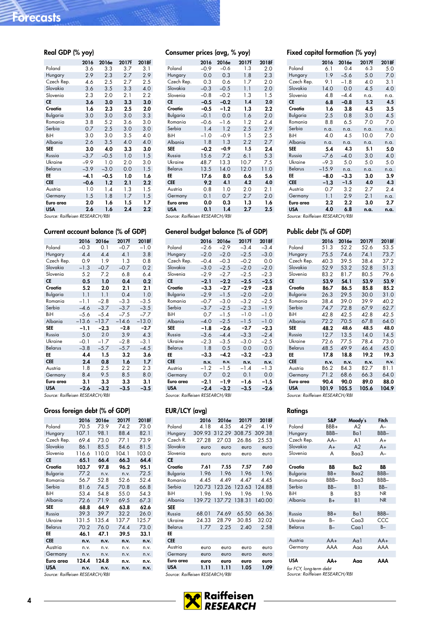<span id="page-3-0"></span>

| Real GDP (% yoy) |        |        |       |       |
|------------------|--------|--------|-------|-------|
|                  | 2016   | 2016e  | 2017f | 2018f |
| Poland           | 3.6    | 3.3    | 3.7   | 3.1   |
| Hungary          | 2.9    | 2.3    | 2.7   | 2.9   |
| Czech Rep.       | 4.6    | 2.5    | 2.7   | 2.5   |
| Slovakia         | 3.6    | 3.5    | 3.3   | 4.0   |
| Slovenia         | 2.3    | 2.0    | 2.1   | 2.2   |
| <b>CE</b>        | 3.6    | 3.0    | 3.3   | 3.0   |
| Croatia          | 1.6    | 2.3    | 2.5   | 2.0   |
| <b>Bulgaria</b>  | 3.0    | 3.0    | 3.0   | 3.3   |
| Romania          | 3.8    | 5.2    | 3.6   | 3.0   |
| Serbia           | 0.7    | 2.5    | 3.0   | 3.0   |
| BiH              | 3.0    | 3.0    | 3.5   | 4.0   |
| Albania          | 2.6    | 3.5    | 4.0   | 4.0   |
| <b>SEE</b>       | 3.0    | 4.0    | 3.3   | 3.0   |
| Russia           | $-3.7$ | $-0.5$ | 1.0   | 1.5   |
| Ukraine          | $-9.9$ | 1.0    | 2.0   | 3.0   |
| <b>Belarus</b>   | $-3.9$ | $-3.0$ | 0.0   | 1.5   |
| EE               | $-4.1$ | $-0.5$ | 1.0   | 1.6   |
| <b>CEE</b>       | $-0.6$ | 1.2    | 2.1   | 2.2   |
| Austria          | 1.0    | 1.4    | 1.3   | 1.5   |
| Germany          | 1.5    | 1.8    | 1.7   | 1.5   |
| Euro area        | 2.0    | 1.6    | 1.5   | 1.7   |
| <b>USA</b>       | 2.6    | 1.6    | 2.4   | 2.2   |

Source: Raiffeisen RESEARCH/RBI

#### Current account balance (% of GDP)

|                | 2016    | 2016e   | 2017f   | 2018f   |
|----------------|---------|---------|---------|---------|
| Poland         | $-0.3$  | 0.1     | $-0.7$  | $-1.0$  |
| Hungary        | 4.4     | 4.4     | 4.1     | 3.8     |
| Czech Rep.     | 0.9     | 1.9     | 1.3     | 0.8     |
| Slovakia       | $-1.3$  | $-0.7$  | $-0.7$  | 0.2     |
| Slovenia       | 5.2     | 7.2     | 6.8     | 6.4     |
| СE             | 0.5     | 1.0     | 0.4     | 0.2     |
| Croatia        | 5.2     | 2.0     | 2.1     | 2.1     |
| Bulgaria       | 1.1     | 1.1     | 0.4     | 1.0     |
| Romania        | $-1.1$  | $-2.8$  | $-3.3$  | $-3.5$  |
| Serbia         | $-4.6$  | $-3.7$  | $-3.7$  | $-3.5$  |
| BiH            | $-5.6$  | $-5.4$  | $-7.5$  | -7.7    |
| Albania        | $-13.6$ | $-13.7$ | $-14.6$ | $-13.0$ |
| <b>SEE</b>     | -1.1    | $-2.3$  | $-2.8$  | $-2.7$  |
| Russia         | 5.0     | 2.0     | 3.9     | 4.3     |
| Ukraine        | $-0.1$  | $-1.7$  | $-2.8$  | $-3.1$  |
| <b>Belarus</b> | $-3.8$  | $-5.7$  | $-5.7$  | $-4.5$  |
| EE             | 4.4     | 1.5     | 3.2     | 3.6     |
| <b>CEE</b>     | 2.4     | 0.8     | 1.6     | 1.7     |
| Austria        | 1.8     | $2.5\,$ | 2.2     | 2.3     |
| Germany        | 8.4     | 9.5     | 8.5     | 8.0     |
| Euro area      | 3.1     | 3.3     | 3.3     | 3.1     |
| <b>USA</b>     | $-2.6$  | $-3.2$  | $-3.5$  | $-3.5$  |
|                |         |         |         |         |

Source: Raiffeisen RESEARCH/RBI

#### Gross foreign debt (% of GDP)

|                             | 2016  | 2016e        | 2017f | 2018f |
|-----------------------------|-------|--------------|-------|-------|
| Poland                      | 70.5  | 73.9         | 74.2  | 73.0  |
| Hungary                     | 107.1 | 98.1         | 88.4  | 82.1  |
| Czech Rep.                  | 69.4  | 73.0         | 77.1  | 73.9  |
| Slovakia                    | 86.1  | 85.5         | 84.6  | 81.5  |
| Slovenia                    | 116.6 | 110.0        | 104.1 | 103.0 |
| CE                          | 65.1  | 66.4         | 66.3  | 64.4  |
| Croatia                     | 103.7 | 97.8         | 96.2  | 95.1  |
| Bulgaria                    | 77.2  | n.v.         | n.v.  | 72.5  |
| Romania                     | 56.7  | 52.8         | 52.6  | 52.4  |
| Serbia                      | 81.6  | 74.5         | 70.8  | 66.8  |
| BiH                         | 53.4  | 54.8         | 55.0  | 54.3  |
| Albania                     | 72.6  | 71.9         | 69.5  | 67.3  |
| <b>SEE</b>                  | 68.8  | 64.9         | 63.8  | 62.6  |
| Russia                      | 39.3  | 39.7         | 32.2  | 26.0  |
| Ukraine                     | 131.5 | 135.4        | 137.7 | 125.7 |
| Belarus                     | 70.2  | 76.0         | 74.4  | 73.0  |
| EE                          | 46.1  | 47.1         | 39.5  | 33.1  |
| <b>CEE</b>                  | n.v.  | n.v.         | n.v.  | n.v.  |
| Austria                     | n.v.  | n.v.         | n.v.  | n.v.  |
| Germany                     | n.v.  | n.v.         | n.v.  | n.v.  |
| Euro area                   | 124.4 | 124.8        | n.v.  | n.v.  |
| <b>USA</b>                  | n.v.  | n.v.         | n.v.  | n.v.  |
| $\sim$ $\sim$ $\sim$ $\sim$ |       | DFCFADCH/DDI |       |       |

Source: Raiffeisen RESEARCH/RBI

### Consumer prices (avg, % yoy)

|                | 2016   | 2016e  | 2017f | 2018f   |
|----------------|--------|--------|-------|---------|
| Poland         | $-0.9$ | $-0.6$ | 1.3   | 2.0     |
| Hungary        | 0.0    | 0.3    | 1.8   | 2.3     |
| Czech Rep.     | 0.3    | 0.6    | 1.7   | 2.0     |
| Slovakia       | $-0.3$ | $-0.5$ | 1.1   | 2.0     |
| Slovenia       | $-0.8$ | $-0.2$ | 1.3   | 1.5     |
| СE             | $-0.5$ | $-0.2$ | 1.4   | 2.0     |
| Croatia        | $-0.5$ | $-1.2$ | 1.3   | $2.2\,$ |
| Bulgaria       | $-0.1$ | 0.0    | 1.6   | 2.0     |
| Romania        | $-0.6$ | $-1.6$ | 1.2   | 2.4     |
| Serbia         | 1.4    | 1.2    | 2.5   | 2.9     |
| BiH            | $-1.0$ | $-0.9$ | 1.5   | 2.5     |
| Albania        | 1.8    | 1.3    | 2.2   | 2.7     |
| <b>SEE</b>     | $-0.2$ | $-0.9$ | 1.5   | 2.4     |
| Russia         | 15.6   | 7.2    | 6.1   | 5.3     |
| Ukraine        | 48.7   | 13.3   | 10.7  | 7.5     |
| <b>Belarus</b> | 13.5   | 14.0   | 12.0  | 11.0    |
| EE             | 17.6   | 8.0    | 6.6   | 5.6     |
| <b>CEE</b>     | 9.2    | 4.1    | 4.2   | 4.0     |
| Austria        | 0.8    | 1.0    | 2.0   | 2.1     |
| Germany        | 0.1    | 0.7    | 2.7   | 2.0     |
| Euro area      | 0.0    | 0.3    | 1.3   | 1.6     |
| <b>USA</b>     | 0.1    | 1.4    | 2.7   | 2.5     |

#### General budget balance (% of GDP) 2016 2016e 2017f 2018f<br> $-2.6$   $-2.9$   $-3.4$   $-3.4$  $Poland$   $-2.6$   $-2.9$   $-3.4$ Hungary –2.0 –2.0 –2.5 –3.0 Czech Rep. –0.4 –0.3 –0.2 0.0 Slovakia Slovenia –2.9 –2.7 –2.5 –2.3<br>CE –2.1 –2.2 –2.5 –2.5  $-2.1$   $-2.2$   $-2.5$   $-2.5$ <br> $-3.3$   $-2.7$   $-2.9$   $-2.8$ **Croatia**  $-3.3$   $-2.7$   $-2.9$   $-2.8$ <br>Bulgaria  $-2.9$   $-1.5$   $-2.0$   $-2.0$ Bulgaria –2.9 –1.5 –2.0 –2.0<br>Romania –0.7 –3.0 –3.2 –2.5 **Romania** Serbia –3.7 –2.5 –2.3 –1.9 BiH 0.7 -1.5 -1.0 -1.0<br>Albania -4.0 -2.5 -1.5 -1.0 Albania<br>**SEE** SEE –1.8 –2.6 –2.7 –2.3 Russia –3.6 –4.4 –3.3 –2.4 Ukraine –2.3 –3.5 –3.0 –2.5<br>Belarus 1.8 0.5 0.0 0.0 Belarus<br>**EE** EE -3.3 -4.2 -3.2 -2.3<br>CEE n.v. n.v. n.v. n.v. n.v. n.v. n.v. n.v. Austria –1.2 –1.5 –1.4 –1.3<br>Germany 0.7 0.2 0.1 0.0 **Germany** Euro area −2.1 −1.9 −1.6 −1.5<br>
USA −2.4 −3.2 −3.5 −2.6  $-2.4$   $-3.2$   $-3.5$

Source: Raiffeisen RESEARCH/RBI

#### EUR/LCY (avg)

|            | 2016   | 2016e  | 2017f  | 2018f  |
|------------|--------|--------|--------|--------|
| Poland     | 4.18   | 4.35   | 4.29   | 4.19   |
| Hungary    | 309.93 | 312.29 | 308.75 | 309.38 |
| Czech R.   | 27.28  | 27.03  | 26.86  | 25.53  |
| Slovakia   | euro   | euro   | euro   | euro   |
| Slovenia   | euro   | euro   | euro   | euro   |
| CE         |        |        |        |        |
| Croatia    | 7.61   | 7.55   | 7.57   | 7.60   |
| Bulgaria   | 1.96   | 1.96   | 1.96   | 1.96   |
| Romania    | 4.45   | 4.49   | 4.47   | 4.45   |
| Serbia     | 120.73 | 123.26 | 123.63 | 124.88 |
| BiH        | 1.96   | 1.96   | 1.96   | 1.96   |
| Albania    | 139.72 | 137.72 | 138.31 | 140.00 |
| <b>SEE</b> |        |        |        |        |
| Russia     | 68.01  | 74.69  | 65.50  | 66.36  |
| Ukraine    | 24.33  | 28.79  | 30.85  | 32.02  |
| Belarus    | 1.77   | 2.25   | 2.40   | 2.58   |
| EE         |        |        |        |        |
| <b>CEE</b> |        |        |        |        |
| Austria    | euro   | euro   | euro   | euro   |
| Germany    | euro   | euro   | euro   | euro   |
| Euro area  | euro   | euro   | euro   | euro   |
| <b>USA</b> | 1.11   | 1.11   | 1.05   | 1.09   |

Source: Raiffeisen RESEARCH/RBI

#### Fixed capital formation (% yoy)

|                | 2016    | 2016e  | 2017f | 2018f |
|----------------|---------|--------|-------|-------|
| Poland         | 6.1     | 0.4    | 6.3   | 5.0   |
| Hungary        | 1.9     | $-5.6$ | 5.0   | 7.0   |
| Czech Rep.     | 9.1     | $-1.8$ | 4.0   | 3.1   |
| Slovakia       | 14.0    | 0.0    | 4.5   | 4.0   |
| Slovenia       | 4.8     | $-4.4$ | n.a.  | n.a.  |
| <b>CE</b>      | 6.8     | $-0.8$ | 5.2   | 4.5   |
| Croatia        | 1.6     | 3.8    | 4.5   | 3.5   |
| Bulgaria       | 2.5     | 0.8    | 3.0   | 4.5   |
| Romania        | 8.8     | 6.5    | 7.0   | 7.0   |
| Serbia         | n.a.    | n.a.   | n.a.  | n.a.  |
| BiH            | 4.0     | 4.5    | 10.0  | 7.0   |
| Albania        | n.a.    | n.a.   | n.a.  | n.a.  |
| <b>SEE</b>     | 5.4     | 4.3    | 5.1   | 5.0   |
| Russia         | $-7.6$  | $-4.0$ | 3.0   | 4.0   |
| Ukraine        | $-9.3$  | 5.0    | 5.0   | 5.0   |
| <b>Belarus</b> | $-15.9$ | n.a.   | n.a.  | n.a.  |
| EE             | $-8.0$  | $-3.3$ | 3.0   | 3.9   |
| <b>CEE</b>     | $-1.3$  | $-1.5$ | 4.0   | 4.3   |
| Austria        | 0.7     | 3.2    | 2.7   | 2.4   |
| Germany        | 1.1     | 2.9    | 2.1   | n.a.  |
| Euro area      | 2.2     | 2.2    | 3.0   | 2.7   |
| <b>USA</b>     | 4.0     | 6.8    | n.a.  | n.a.  |

Source: Raiffeisen RESEARCH/RBI

#### Public debt (% of GDP)

|                | 2016  | 2016e | 2017f | 2018f |
|----------------|-------|-------|-------|-------|
| Poland         | 51.3  | 52.2  | 52.6  | 53.5  |
| Hungary        | 75.5  | 74.6  | 74.1  | 73.7  |
| Czech Rep.     | 40.3  | 39.5  | 38.4  | 37.2  |
| Slovakia       | 52.9  | 53.2  | 52.8  | 51.3  |
| Slovenia       | 83.2  | 81.7  | 80.5  | 79.6  |
| <b>CE</b>      | 53.9  | 54.1  | 53.9  | 53.9  |
| Croatia        | 86.7  | 86.5  | 85.8  | 85.2  |
| Bulgaria       | 26.3  | 29.5  | 30.0  | 31.0  |
| Romania        | 38.4  | 39.0  | 39.9  | 40.2  |
| Serbia         | 74.7  | 72.8  | 67.9  | 62.7  |
| BiH            | 42.8  | 42.5  | 42.8  | 42.5  |
| Albania        | 72.2  | 70.5  | 67.8  | 64.0  |
| <b>SEE</b>     | 48.2  | 48.6  | 48.5  | 48.0  |
| Russia         | 12.7  | 13.5  | 14.0  | 14.5  |
| Ukraine        | 72 6  | 77.5  | 78.4  | 73.0  |
| <b>Belarus</b> | 48.5  | 49.9  | 46.4  | 45.0  |
| EE             | 17.8  | 18.8  | 19.2  | 19.3  |
| <b>CEE</b>     | n.v.  | n.v.  | n.v.  | n.v.  |
| Austria        | 86.2  | 84.3  | 82.7  | 81.1  |
| Germany        | 71.2  | 68.6  | 66.3  | 64.0  |
| Euro area      | 90.4  | 90.0  | 89.0  | 88.0  |
| <b>USA</b>     | 101.9 | 105.5 | 105.6 | 104.9 |

Source: Raiffeisen RESEARCH/RBI

#### **Ratings**

|                                                            | S&P    | Moody's        | Fitch     |
|------------------------------------------------------------|--------|----------------|-----------|
| Poland                                                     | BBB+   | A2             | $A -$     |
| Hungary                                                    | BBB-   | Ba1            | BBB-      |
| Czech Rep.                                                 | $AA-$  | A1             | A+        |
| Slovakia                                                   | $A+$   | A2             | $A+$      |
| Slovenia                                                   | A      | Baa3           | $A-$      |
|                                                            |        |                |           |
| Croatia                                                    | BB     | Ba2            | BB        |
| Bulgaria                                                   | BB+    | Baa2           | BBB-      |
| Romania                                                    | BBB-   | Baa3           | BBB-      |
| Serbia                                                     | $BB -$ | B <sub>1</sub> | BB-       |
| BiH                                                        | В      | B3             | NR        |
| Albania                                                    | B+     | B1             | <b>NR</b> |
|                                                            |        |                |           |
| Russia                                                     | BB+    | Ba1            | BBB-      |
| Ukraine                                                    | B-     | $C0$ a $3$     | CCC       |
| <b>Belarus</b>                                             | $B -$  | C <sub>q</sub> | $B -$     |
|                                                            |        |                |           |
| Austria                                                    | $AA+$  | Aa1            | $AA+$     |
| Germany                                                    | AAA    | Aaa            | AAA       |
|                                                            |        |                |           |
| USA                                                        | AA+    | Ααα            | ΑΑΑ       |
| for FCY, long-term debt<br>Source: Raiffeisen RESEARCH/RBI |        |                |           |

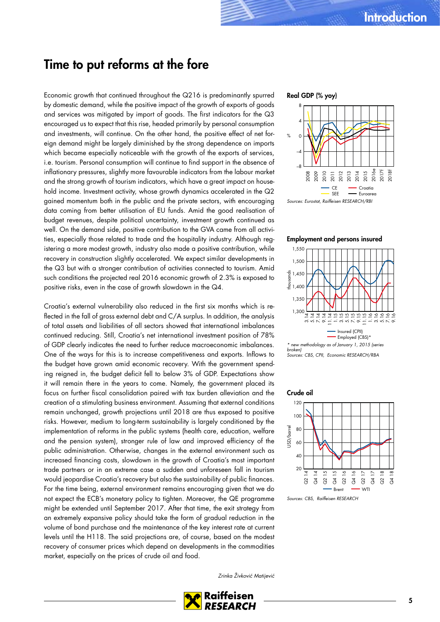### Time to put reforms at the fore

Economic growth that continued throughout the Q216 is predominantly spurred by domestic demand, while the positive impact of the growth of exports of goods and services was mitigated by import of goods. The first indicators for the Q3 encouraged us to expect that this rise, headed primarily by personal consumption and investments, will continue. On the other hand, the positive effect of net foreign demand might be largely diminished by the strong dependence on imports which became especially noticeable with the growth of the exports of services, i.e. tourism. Personal consumption will continue to find support in the absence of inflationary pressures, slightly more favourable indicators from the labour market and the strong growth of tourism indicators, which have a great impact on household income. Investment activity, whose growth dynamics accelerated in the Q2 gained momentum both in the public and the private sectors, with encouraging data coming from better utilisation of EU funds. Amid the good realisation of budget revenues, despite political uncertainty, investment growth continued as well. On the demand side, positive contribution to the GVA came from all activities, especially those related to trade and the hospitality industry. Although registering a more modest growth, industry also made a positive contribution, while recovery in construction slightly accelerated. We expect similar developments in the Q3 but with a stronger contribution of activities connected to tourism. Amid such conditions the projected real 2016 economic growth of 2.3% is exposed to positive risks, even in the case of growth slowdown in the Q4.

Croatia's external vulnerability also reduced in the first six months which is reflected in the fall of gross external debt and C/A surplus. In addition, the analysis of total assets and liabilities of all sectors showed that international imbalances continued reducing. Still, Croatia's net international investment position of 78% of GDP clearly indicates the need to further reduce macroeconomic imbalances. One of the ways for this is to increase competitiveness and exports. Inflows to the budget have grown amid economic recovery. With the government spending reigned in, the budget deficit fell to below 3% of GDP. Expectations show it will remain there in the years to come. Namely, the government placed its focus on further fiscal consolidation paired with tax burden alleviation and the creation of a stimulating business environment. Assuming that external conditions remain unchanged, growth projections until 2018 are thus exposed to positive risks. However, medium to long-term sustainability is largely conditioned by the implementation of reforms in the public systems (health care, education, welfare and the pension system), stronger rule of law and improved efficiency of the public administration. Otherwise, changes in the external environment such as increased financing costs, slowdown in the growth of Croatia's most important trade partners or in an extreme case a sudden and unforeseen fall in tourism would jeopardise Croatia's recovery but also the sustainability of public finances. For the time being, external environment remains encouraging given that we do not expect the ECB's monetary policy to tighten. Moreover, the QE programme might be extended until September 2017. After that time, the exit strategy from an extremely expansive policy should take the form of gradual reduction in the volume of bond purchase and the maintenance of the key interest rate at current levels until the H118. The said projections are, of course, based on the modest recovery of consumer prices which depend on developments in the commodities market, especially on the prices of crude oil and food.

#### Real GDP (% yoy)



Employment and persons insured



broken) Sources: CBS, CPII, Economic RESEARCH/RBA



Sources: CBS, Raiffeisen RESEARCH

Zrinka Živković Matijević

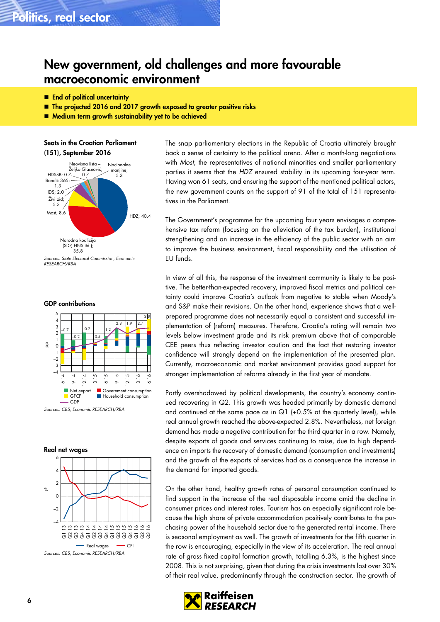### New government, old challenges and more favourable macroeconomic environment

- **End of political uncertainty**
- The projected 2016 and 2017 growth exposed to greater positive risks
- **Medium term growth sustainability yet to be achieved**

Seats in the Croatian Parliament (151), September 2016



Sources: State Electoral Commission, Economic RESEARCH/RBA

GDP contributions





The snap parliamentary elections in the Republic of Croatia ultimately brought back a sense of certainty to the political arena. After a month-long negotiations with Most, the representatives of national minorities and smaller parliamentary parties it seems that the HDZ ensured stability in its upcoming four-year term. Having won 61 seats, and ensuring the support of the mentioned political actors, the new government counts on the support of 91 of the total of 151 representatives in the Parliament.

The Government's programme for the upcoming four years envisages a comprehensive tax reform (focusing on the alleviation of the tax burden), institutional strengthening and an increase in the efficiency of the public sector with an aim to improve the business environment, fiscal responsibility and the utilisation of EU funds.

In view of all this, the response of the investment community is likely to be positive. The better-than-expected recovery, improved fiscal metrics and political certainty could improve Croatia's outlook from negative to stable when Moody's and S&P make their revisions. On the other hand, experience shows that a wellprepared programme does not necessarily equal a consistent and successful implementation of (reform) measures. Therefore, Croatia's rating will remain two levels below investment grade and its risk premium above that of comparable CEE peers thus reflecting investor caution and the fact that restoring investor confidence will strongly depend on the implementation of the presented plan. Currently, macroeconomic and market environment provides good support for stronger implementation of reforms already in the first year of mandate.

Partly overshadowed by political developments, the country's economy continued recovering in Q2. This growth was headed primarily by domestic demand and continued at the same pace as in  $Q1$  (+0.5% at the quarterly level), while real annual growth reached the above-expected 2.8%. Nevertheless, net foreign demand has made a negative contribution for the third quarter in a row. Namely, despite exports of goods and services continuing to raise, due to high dependence on imports the recovery of domestic demand (consumption and investments) and the growth of the exports of services had as a consequence the increase in the demand for imported goods.

On the other hand, healthy growth rates of personal consumption continued to find support in the increase of the real disposable income amid the decline in consumer prices and interest rates. Tourism has an especially significant role because the high share of private accommodation positively contributes to the purchasing power of the household sector due to the generated rental income. There is seasonal employment as well. The growth of investments for the fifth quarter in the row is encouraging, especially in the view of its acceleration. The real annual rate of gross fixed capital formation growth, totalling 6.3%, is the highest since 2008. This is not surprising, given that during the crisis investments lost over 30% of their real value, predominantly through the construction sector. The growth of

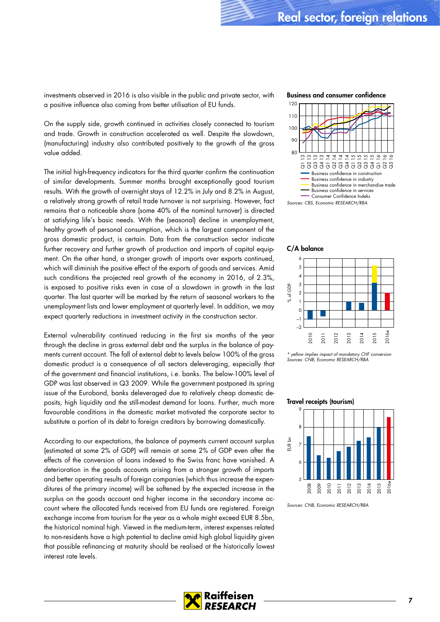investments observed in 2016 is also visible in the public and private sector, with a positive influence also coming from better utilisation of EU funds.

On the supply side, growth continued in activities closely connected to tourism and trade. Growth in construction accelerated as well. Despite the slowdown, (manufacturing) industry also contributed positively to the growth of the gross value added.

The initial high-frequency indicators for the third quarter confirm the continuation of similar developments. Summer months brought exceptionally good tourism results. With the growth of overnight stays of 12.2% in July and 8.2% in August, a relatively strong growth of retail trade turnover is not surprising. However, fact remains that a noticeable share (some 40% of the nominal turnover) is directed at satisfying life's basic needs. With the (seasonal) decline in unemployment, healthy growth of personal consumption, which is the largest component of the gross domestic product, is certain. Data from the construction sector indicate further recovery and further growth of production and imports of capital equipment. On the other hand, a stronger growth of imports over exports continued, which will diminish the positive effect of the exports of goods and services. Amid such conditions the projected real growth of the economy in 2016, of 2.3%, is exposed to positive risks even in case of a slowdown in growth in the last quarter. The last quarter will be marked by the return of seasonal workers to the unemployment lists and lower employment at quarterly level. In addition, we may expect quarterly reductions in investment activity in the construction sector.

External vulnerability continued reducing in the first six months of the year through the decline in gross external debt and the surplus in the balance of payments current account. The fall of external debt to levels below 100% of the gross domestic product is a consequence of all sectors deleveraging, especially that of the government and financial institutions, i.e. banks. The below-100% level of GDP was last observed in Q3 2009. While the government postponed its spring issue of the Eurobond, banks deleveraged due to relatively cheap domestic deposits, high liquidity and the still-modest demand for loans. Further, much more favourable conditions in the domestic market motivated the corporate sector to substitute a portion of its debt to foreign creditors by borrowing domestically.

According to our expectations, the balance of payments current account surplus (estimated at some 2% of GDP) will remain at some 2% of GDP even after the effects of the conversion of loans indexed to the Swiss franc have vanished. A deterioration in the goods accounts arising from a stronger growth of imports and better operating results of foreign companies (which thus increase the expenditures of the primary income) will be softened by the expected increase in the surplus on the goods account and higher income in the secondary income account where the allocated funds received from EU funds are registered. Foreign exchange income from tourism for the year as a whole might exceed EUR 8.5bn, the historical nominal high. Viewed in the medium-term, interest expenses related to non-residents have a high potential to decline amid high global liquidity given that possible refinancing at maturity should be realised at the historically lowest interest rate levels.

#### Business and consumer confidence



#### C/A balance



\* yellow implies impact of mandatory CHF conversion Sources: CNB, Economic RESEARCH/RBA

#### Travel receipts (tourism)



Sources: CNB, Economic RESEARCH/RBA

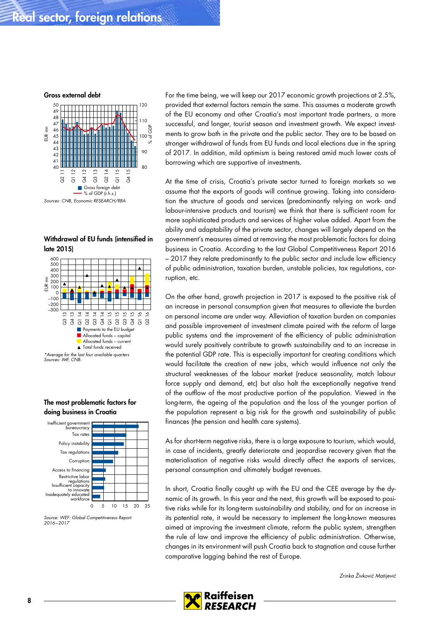Gross external debt



### Withdrawal of EU funds (intensified in late 2015)







Source: WEF: Global Competitiveness Report 2016–2017

For the time being, we will keep our 2017 economic growth projections at 2.5%. provided that external factors remain the same. This assumes a moderate growth of the EU economy and other Croatia's most important trade partners, a more successful, and longer, tourist season and investment growth. We expect investments to grow both in the private and the public sector. They are to be based on stronger withdrawal of funds from EU funds and local elections due in the spring of 2017. In addition, mild optimism is being restored amid much lower costs of borrowing which are supportive of investments.

At the time of crisis, Croatia's private sector turned to foreign markets so we assume that the exports of goods will continue growing. Taking into consideration the structure of goods and services (predominantly relying on work- and labour-intensive products and tourism) we think that there is sufficient room for more sophisticated products and services of higher value added. Apart from the ability and adaptability of the private sector, changes will largely depend on the government's measures aimed at removing the most problematic factors for doing business in Croatia. According to the last Global Competitiveness Report 2016 – 2017 they relate predominantly to the public sector and include low efficiency of public administration, taxation burden, unstable policies, tax regulations, corruption, etc.

On the other hand, growth projection in 2017 is exposed to the positive risk of an increase in personal consumption given that measures to alleviate the burden on personal income are under way. Alleviation of taxation burden on companies and possible improvement of investment climate paired with the reform of large public systems and the improvement of the efficiency of public administration would surely positively contribute to growth sustainability and to an increase in the potential GDP rate. This is especially important for creating conditions which would facilitate the creation of new jobs, which would influence not only the structural weaknesses of the labour market (reduce seasonality, match labour force supply and demand, etc) but also halt the exceptionally negative trend of the outflow of the most productive portion of the population. Viewed in the long-term, the ageing of the population and the loss of the younger portion of the population represent a big risk for the growth and sustainability of public finances (the pension and health care systems).

As for short-term negative risks, there is a large exposure to tourism, which would, in case of incidents, greatly deteriorate and jeopardise recovery given that the materialisation of negative risks would directly affect the exports of services, personal consumption and ultimately budget revenues.

In short, Croatia finally caught up with the EU and the CEE average by the dynamic of its growth. In this year and the next, this growth will be exposed to positive risks while for its long-term sustainability and stability, and for an increase in its potential rate, it would be necessary to implement the long-known measures aimed at improving the investment climate, reform the public system, strengthen the rule of law and improve the efficiency of public administration. Otherwise, changes in its environment will push Croatia back to stagnation and cause further comparative lagging behind the rest of Europe.

Zrinka Živković Matijević

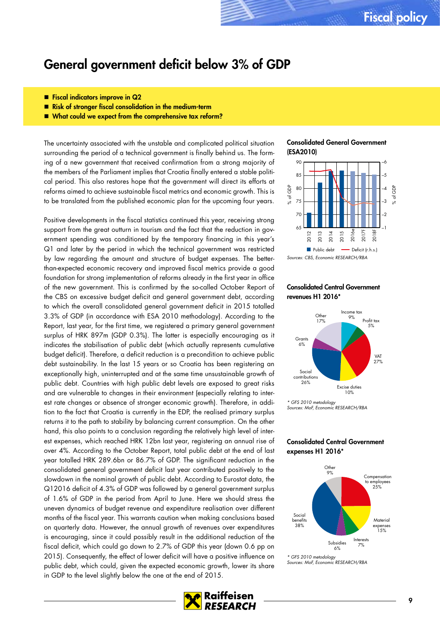### General government deficit below 3% of GDP

- Fiscal indicators improve in Q2
- **Risk of stronger fiscal consolidation in the medium-term**
- What could we expect from the comprehensive tax reform?

The uncertainty associated with the unstable and complicated political situation surrounding the period of a technical government is finally behind us. The forming of a new government that received confirmation from a strong majority of the members of the Parliament implies that Croatia finally entered a stable political period. This also restores hope that the government will direct its efforts at reforms aimed to achieve sustainable fiscal metrics and economic growth. This is to be translated from the published economic plan for the upcoming four years.

Positive developments in the fiscal statistics continued this year, receiving strong support from the great outturn in tourism and the fact that the reduction in government spending was conditioned by the temporary financing in this year's Q1 and later by the period in which the technical government was restricted by law regarding the amount and structure of budget expenses. The betterthan-expected economic recovery and improved fiscal metrics provide a good foundation for strong implementation of reforms already in the first year in office of the new government. This is confirmed by the so-called October Report of the CBS on excessive budget deficit and general government debt, according to which the overall consolidated general government deficit in 2015 totalled 3.3% of GDP (in accordance with ESA 2010 methodology). According to the Report, last year, for the first time, we registered a primary general government surplus of HRK 897m (GDP 0.3%). The latter is especially encouraging as it indicates the stabilisation of public debt (which actually represents cumulative budget deficit). Therefore, a deficit reduction is a precondition to achieve public debt sustainability. In the last 15 years or so Croatia has been registering an exceptionally high, uninterrupted and at the same time unsustainable growth of public debt. Countries with high public debt levels are exposed to great risks and are vulnerable to changes in their environment (especially relating to interest rate changes or absence of stronger economic growth). Therefore, in addition to the fact that Croatia is currently in the EDP, the realised primary surplus returns it to the path to stability by balancing current consumption. On the other hand, this also points to a conclusion regarding the relatively high level of interest expenses, which reached HRK 12bn last year, registering an annual rise of over 4%. According to the October Report, total public debt at the end of last year totalled HRK 289.6bn or 86.7% of GDP. The significant reduction in the consolidated general government deficit last year contributed positively to the slowdown in the nominal growth of public debt. According to Eurostat data, the Q12016 deficit of 4.3% of GDP was followed by a general government surplus of 1.6% of GDP in the period from April to June. Here we should stress the uneven dynamics of budget revenue and expenditure realisation over different months of the fiscal year. This warrants caution when making conclusions based on quarterly data. However, the annual growth of revenues over expenditures is encouraging, since it could possibly result in the additional reduction of the fiscal deficit, which could go down to 2.7% of GDP this year (down 0.6 pp on 2015). Consequently, the effect of lower deficit will have a positive influence on public debt, which could, given the expected economic growth, lower its share in GDP to the level slightly below the one at the end of 2015.





#### Consolidated Central Government revenues H1 2016\*



\* GFS 2010 metodology Sources: MoF, Economic RESEARCH/RBA

#### Consolidated Central Government expenses H1 2016\*



\* GFS 2010 metodology Sources: MoF, Economic RESEARCH/RBA

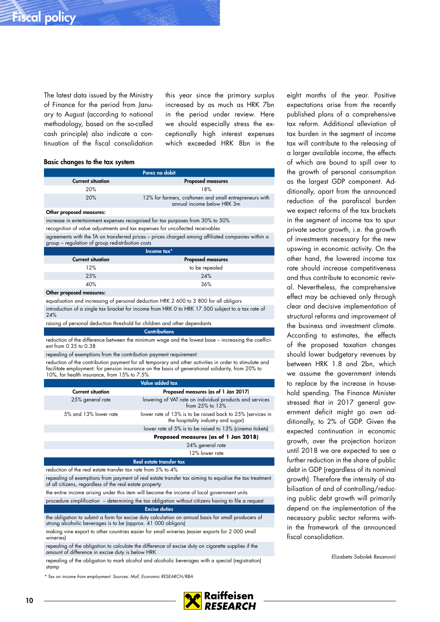The latest data issued by the Ministry of Finance for the period from January to August (according to national methodology, based on the so-called cash principle) also indicate a continuation of the fiscal consolidation this year since the primary surplus increased by as much as HRK 7bn in the period under review. Here we should especially stress the exceptionally high interest expenses which exceeded HRK 8bn in the

#### Basic changes to the tax system

|                          | Porez na dobit                                                                        |
|--------------------------|---------------------------------------------------------------------------------------|
| <b>Current situation</b> | <b>Proposed measures</b>                                                              |
| 20%                      | 18%                                                                                   |
| 20%                      | 12% for farmers, craftsmen and small entrepreneurs with<br>annual income below HRK 3m |

#### Other proposed measures:

increase in entertainment expenses recognised for tax purposes from 30% to 50%

recognition of value adjustments and tax expenses for uncollected receivables

agreements with the TA on transferred prices – prices charged among affiliated companies within a group – regulation of group redistribution costs

|                          | Income tax*              |
|--------------------------|--------------------------|
| <b>Current situation</b> | <b>Proposed measures</b> |
| 12%                      | to be repealed           |
| 25%                      | 24%                      |
| 40%                      | 36%                      |
|                          |                          |

Other proposed measures:

equalisation and increasing of personal deduction HRK 2 600 to 3 800 for all obligors introduction of a single tax bracket for income from HRK 0 to HRK 17 500 subject to a tax rate of 24%

raising of personal deduction threshold for children and other dependants **Contributions** 

reduction of the difference between the minimum wage and the lowest base – increasing the coefficient from 0.35 to 0.38

repealing of exemptions from the contribution payment requirement

reduction of the contribution payment for all temporary and other activities in order to stimulate and facilitate employment: for pension insurance on the basis of generational solidarity, from 20% to 10%, for health insurance, from 15% to 7.5%

| Value added tax          |                                                                                                   |  |  |  |
|--------------------------|---------------------------------------------------------------------------------------------------|--|--|--|
| <b>Current situation</b> | Proposed measures (as of 1 Jan 2017)                                                              |  |  |  |
| 25% general rate         | lowering of VAT rate on individual products and services<br>from $25\%$ to $13\%$                 |  |  |  |
| 5% and 13% lower rate    | lower rate of 13% is to be raised back to 25% (services in<br>the hospitality industry and sugar) |  |  |  |
|                          | lower rate of 5% is to be raised to 13% (cinema tickets)                                          |  |  |  |
|                          | Proposed measures (as of 1 Jan 2018)                                                              |  |  |  |
|                          | 24% general rate                                                                                  |  |  |  |
|                          | 12% lower rate                                                                                    |  |  |  |
| Real estate transfer tax |                                                                                                   |  |  |  |
|                          |                                                                                                   |  |  |  |

reduction of the real estate transfer tax rate from 5% to 4%

repealing of exemptions from payment of real estate transfer tax aiming to equalise the tax treatment of all citizens, regardless of the real estate property

the entire income arising under this item will become the income of local government units procedure simplification – determining the tax obligation without citizens having to file a request

#### Excise duties

the obligation to submit a form for excise duty calculation on annual basis for small producers of strong alcoholic beverages is to be (approx. 41 000 obligors)

making vine export to other countries easier for small wineries (easier exports for 2 000 small wineries)

repealing of the obligation to calculate the difference of excise duty on cigarette supplies if the amount of difference in excise duty is below HRK

repealing of the obligation to mark alcohol and alcoholic beverages with a special (registration) stamp

Tax on income from employment. Sources: MoF, Economic RESEARCH/RBA

**Raiffeisen** RFSFARCH

eight months of the year. Positive expectations arise from the recently published plans of a comprehensive tax reform. Additional alleviation of tax burden in the segment of income tax will contribute to the releasing of a larger available income, the effects of which are bound to spill over to the growth of personal consumption as the largest GDP component. Additionally, apart from the announced reduction of the parafiscal burden we expect reforms of the tax brackets in the segment of income tax to spur private sector growth, i.e. the growth of investments necessary for the new upswing in economic activity. On the other hand, the lowered income tax rate should increase competitiveness and thus contribute to economic revival. Nevertheless, the comprehensive effect may be achieved only through clear and decisive implementation of structural reforms and improvement of the business and investment climate. According to estimates, the effects of the proposed taxation changes should lower budgetary revenues by between HRK 1.8 and 2bn, which we assume the government intends to replace by the increase in household spending. The Finance Minister stressed that in 2017 general government deficit might go own additionally, to 2% of GDP. Given the expected continuation in economic growth, over the projection horizon until 2018 we are expected to see a further reduction in the share of public debt in GDP (regardless of its nominal growth). Therefore the intensity of stabilisation of and of controlling/reducing public debt growth will primarily depend on the implementation of the necessary public sector reforms within the framework of the announced fiscal consolidation.

Elizabeta Sabolek Resanović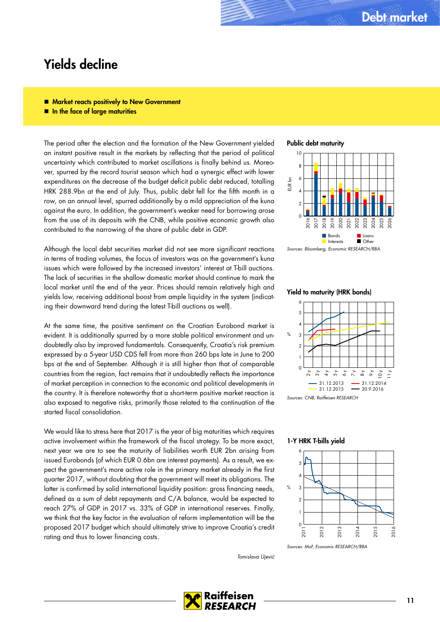### Yields decline

- **Market reacts positively to New Government**
- In the face of large maturities

The period after the election and the formation of the New Government yielded an instant positive result in the markets by reflecting that the period of political uncertainty which contributed to market oscillations is finally behind us. Moreover, spurred by the record tourist season which had a synergic effect with lower expenditures on the decrease of the budget deficit public debt reduced, totalling HRK 288.9bn at the end of July. Thus, public debt fell for the fifth month in a row, on an annual level, spurred additionally by a mild appreciation of the kuna against the euro. In addition, the government's weaker need for borrowing arose from the use of its deposits with the CNB, while positive economic growth also contributed to the narrowing of the share of public debt in GDP.

Although the local debt securities market did not see more significant reactions in terms of trading volumes, the focus of investors was on the government's kuna issues which were followed by the increased investors' interest at T-bill auctions. The lack of securities in the shallow domestic market should continue to mark the local market until the end of the year. Prices should remain relatively high and yields low, receiving additional boost from ample liquidity in the system (indicating their downward trend during the latest T-bill auctions as well).

At the same time, the positive sentiment on the Croatian Eurobond market is evident. It is additionally spurred by a more stable political environment and undoubtedly also by improved fundamentals. Consequently, Croatia's risk premium expressed by a 5-year USD CDS fell from more than 260 bps late in June to 200 bps at the end of September. Although it is still higher than that of comparable countries from the region, fact remains that it undoubtedly reflects the importance of market perception in connection to the economic and political developments in the country. It is therefore noteworthy that a short-term positive market reaction is also exposed to negative risks, primarily those related to the continuation of the started fiscal consolidation.

We would like to stress here that 2017 is the year of big maturities which requires active involvement within the framework of the fiscal strategy. To be more exact, next year we are to see the maturity of liabilities worth EUR 2bn arising from issued Eurobonds (of which EUR 0.6bn are interest payments). As a result, we expect the government's more active role in the primary market already in the first quarter 2017, without doubting that the government will meet its obligations. The latter is confirmed by solid international liquidity position: gross financing needs, defined as a sum of debt repayments and C/A balance, would be expected to reach 27% of GDP in 2017 vs. 33% of GDP in international reserves. Finally, we think that the key factor in the evaluation of reform implementation will be the proposed 2017 budget which should ultimately strive to improve Croatia's credit rating and thus to lower financing costs.

Tomislava Ujević





Sources: Bloomberg, Economic RESEARCH/RBA

#### Yield to maturity (HRK bonds)



Sources: CNB, Raiffeisen RESEARCH

1-Y HRK T-bills yield



Sources: MoF, Economic RESEARCH/RBA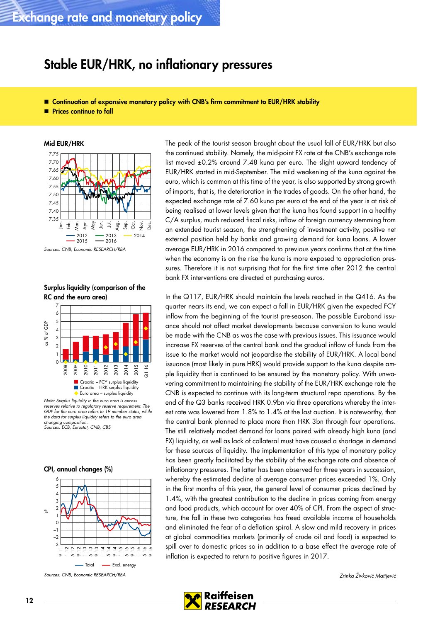## Stable EUR/HRK, no inflationary pressures

- Continuation of expansive monetary policy with CNB's firm commitment to EUR/HRK stability
- **Prices continue to fall**





Surplus liquidity (comparison of the RC and the euro area)



Note: Surplus liquidity in the euro area is excess reserves relative to regulatory reserve requirement. The GDP for the euro area refers to 19 member states, while the data for surplus liquidity refers to the euro area<br>changing composition. changing com Sources: ECB, Eurostat, CNB, CBS

#### CPI, annual changes (%)



Sources: CNB, Economic RESEARCH/RBA

The peak of the tourist season brought about the usual fall of EUR/HRK but also the continued stability. Namely, the mid-point FX rate at the CNB's exchange rate list moved ±0.2% around 7.48 kuna per euro. The slight upward tendency of EUR/HRK started in mid-September. The mild weakening of the kuna against the euro, which is common at this time of the year, is also supported by strong growth of imports, that is, the deterioration in the trades of goods. On the other hand, the expected exchange rate of 7.60 kuna per euro at the end of the year is at risk of being realised at lower levels given that the kuna has found support in a healthy C/A surplus, much reduced fiscal risks, inflow of foreign currency stemming from an extended tourist season, the strengthening of investment activity, positive net external position held by banks and growing demand for kuna loans. A lower average EUR/HRK in 2016 compared to previous years confirms that at the time when the economy is on the rise the kuna is more exposed to appreciation pressures. Therefore it is not surprising that for the first time after 2012 the central bank FX interventions are directed at purchasing euros.

In the Q117, EUR/HRK should maintain the levels reached in the Q416. As the quarter nears its end, we can expect a fall in EUR/HRK given the expected FCY inflow from the beginning of the tourist pre-season. The possible Eurobond issuance should not affect market developments because conversion to kuna would be made with the CNB as was the case with previous issues. This issuance would increase FX reserves of the central bank and the gradual inflow of funds from the issue to the market would not jeopardise the stability of EUR/HRK. A local bond issuance (most likely in pure HRK) would provide support to the kuna despite ample liquidity that is continued to be ensured by the monetary policy. With unwavering commitment to maintaining the stability of the EUR/HRK exchange rate the CNB is expected to continue with its long-term structural repo operations. By the end of the Q3 banks received HRK 0.9bn via three operations whereby the interest rate was lowered from 1.8% to 1.4% at the last auction. It is noteworthy, that the central bank planned to place more than HRK 3bn through four operations. The still relatively modest demand for loans paired with already high kuna (and FX) liquidity, as well as lack of collateral must have caused a shortage in demand for these sources of liquidity. The implementation of this type of monetary policy has been greatly facilitated by the stability of the exchange rate and absence of inflationary pressures. The latter has been observed for three years in succession, whereby the estimated decline of average consumer prices exceeded 1%. Only in the first months of this year, the general level of consumer prices declined by 1.4%, with the greatest contribution to the decline in prices coming from energy and food products, which account for over 40% of CPI. From the aspect of structure, the fall in these two categories has freed available income of households and eliminated the fear of a deflation spiral. A slow and mild recovery in prices at global commodities markets (primarily of crude oil and food) is expected to spill over to domestic prices so in addition to a base effect the average rate of inflation is expected to return to positive figures in 2017.

Zrinka Živković Matijević

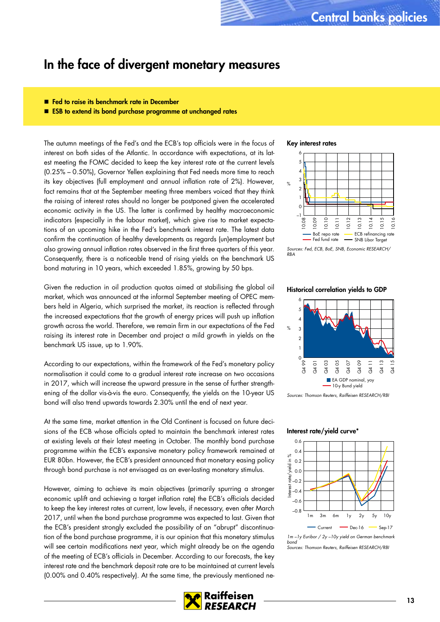### In the face of divergent monetary measures

- Fed to raise its benchmark rate in December
- ESB to extend its bond purchase programme at unchanged rates

The autumn meetings of the Fed's and the ECB's top officials were in the focus of interest on both sides of the Atlantic. In accordance with expectations, at its latest meeting the FOMC decided to keep the key interest rate at the current levels (0.25% – 0.50%), Governor Yellen explaining that Fed needs more time to reach its key objectives (full employment and annual inflation rate of 2%). However, fact remains that at the September meeting three members voiced that they think the raising of interest rates should no longer be postponed given the accelerated economic activity in the US. The latter is confirmed by healthy macroeconomic indicators (especially in the labour market), which give rise to market expectations of an upcoming hike in the Fed's benchmark interest rate. The latest data confirm the continuation of healthy developments as regards (un)employment but also growing annual inflation rates observed in the first three quarters of this year. Consequently, there is a noticeable trend of rising yields on the benchmark US bond maturing in 10 years, which exceeded 1.85%, growing by 50 bps.

Given the reduction in oil production quotas aimed at stabilising the global oil market, which was announced at the informal September meeting of OPEC members held in Algeria, which surprised the market, its reaction is reflected through the increased expectations that the growth of energy prices will push up inflation growth across the world. Therefore, we remain firm in our expectations of the Fed raising its interest rate in December and project a mild growth in yields on the benchmark US issue, up to 1.90%.

According to our expectations, within the framework of the Fed's monetary policy normalisation it could come to a gradual interest rate increase on two occasions in 2017, which will increase the upward pressure in the sense of further strengthening of the dollar vis-à-vis the euro. Consequently, the yields on the 10-year US bond will also trend upwards towards 2.30% until the end of next year.

At the same time, market attention in the Old Continent is focused on future decisions of the ECB whose officials opted to maintain the benchmark interest rates at existing levels at their latest meeting in October. The monthly bond purchase programme within the ECB's expansive monetary policy framework remained at EUR 80bn. However, the ECB's president announced that monetary easing policy through bond purchase is not envisaged as an ever-lasting monetary stimulus.

However, aiming to achieve its main objectives (primarily spurring a stronger economic uplift and achieving a target inflation rate) the ECB's officials decided to keep the key interest rates at current, low levels, if necessary, even after March 2017, until when the bond purchase programme was expected to last. Given that the ECB's president strongly excluded the possibility of an "abrupt" discontinuation of the bond purchase programme, it is our opinion that this monetary stimulus will see certain modifications next year, which might already be on the agenda of the meeting of ECB's officials in December. According to our forecasts, the key interest rate and the benchmark deposit rate are to be maintained at current levels (0.00% and 0.40% respectively). At the same time, the previously mentioned ne-

#### Key interest rates



Sources: Fed, ECB, BoE, SNB, Economic RESEARCH/ RBA

#### Historical correlation yields to GDP



Sources: Thomson Reuters, Raiffeisen RESEARCH/RBI

#### Interest rate/yield curve\*



<sup>1</sup>m –1y Euribor / 2y –10y yield on German benchmark bond Sources: Thomson Reuters, Raiffeisen RESEARCH/RBI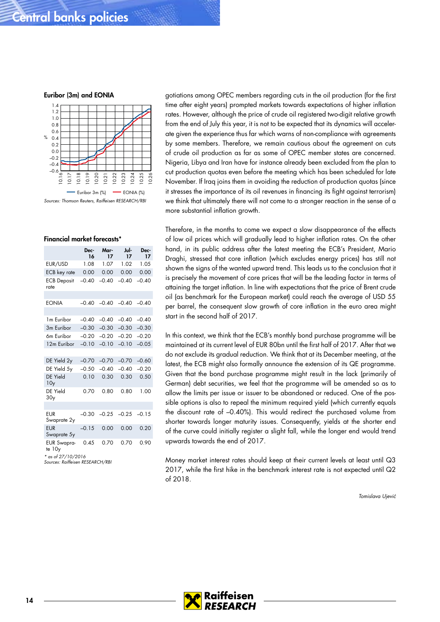Euribor (3m) and EONIA



#### Financial market forecasts\*

|                              | Dec-<br>16 | Mar-<br>17 | Jul-<br>17 | Dec-<br>17 |  |  |
|------------------------------|------------|------------|------------|------------|--|--|
| EUR/USD                      | 1.08       | 1.07       | 1.02       | 1.05       |  |  |
| <b>ECB</b> key rate          | 0.00       | 0.00       | 0.00       | 0.00       |  |  |
| <b>ECB Deposit</b><br>rate   | $-0.40$    | $-0.40$    | $-0.40$    | $-0.40$    |  |  |
|                              |            |            |            |            |  |  |
| <b>EONIA</b>                 | $-0.40$    | $-0.40$    | $-0.40$    | $-0.40$    |  |  |
|                              |            |            |            |            |  |  |
| 1 <sub>m</sub> Euribor       | $-0.40$    | $-0.40$    | $-0.40$    | $-0.40$    |  |  |
| 3m Euribor                   | $-0.30$    | $-0.30$    | $-0.30$    | $-0.30$    |  |  |
| 6m Euribor                   | $-0.20$    | $-0.20$    | $-0.20$    | $-0.20$    |  |  |
| 12m Euribor                  | $-0.10$    | $-0.10$    | $-0.10$    | $-0.05$    |  |  |
|                              |            |            |            |            |  |  |
| DE Yield 2y                  | $-0.70$    | $-0.70$    | $-0.70$    | $-0.60$    |  |  |
| DE Yield 5y                  | $-0.50$    | $-0.40$    | $-0.40$    | $-0.20$    |  |  |
| DE Yield<br>10 <sub>y</sub>  | 0.10       | 0.30       | 0.30       | 0.50       |  |  |
| DE Yield<br>30 <sub>y</sub>  | 0.70       | 0.80       | 0.80       | 1.00       |  |  |
|                              |            |            |            |            |  |  |
| EUR<br>Swaprate 2y           | $-0.30$    | $-0.25$    | $-0.25$    | $-0.15$    |  |  |
| <b>EUR</b><br>Swaprate 5y    | $-0.15$    | 0.00       | 0.00       | 0.20       |  |  |
| <b>EUR Swapra-</b><br>te 10y | 0.45       | 0.70       | 0.70       | 0.90       |  |  |
| * as of $27/10/2016$         |            |            |            |            |  |  |

\* as of 27/10/2016 Sources: Raiffeisen RESEARCH/RBI

gotiations among OPEC members regarding cuts in the oil production (for the first time after eight years) prompted markets towards expectations of higher inflation rates. However, although the price of crude oil registered two-digit relative growth from the end of July this year, it is not to be expected that its dynamics will accelerate given the experience thus far which warns of non-compliance with agreements by some members. Therefore, we remain cautious about the agreement on cuts of crude oil production as far as some of OPEC member states are concerned. Nigeria, Libya and Iran have for instance already been excluded from the plan to cut production quotas even before the meeting which has been scheduled for late November. If Iraq joins them in avoiding the reduction of production quotas (since it stresses the importance of its oil revenues in financing its fight against terrorism) we think that ultimately there will not come to a stronger reaction in the sense of a more substantial inflation growth.

Therefore, in the months to come we expect a slow disappearance of the effects of low oil prices which will gradually lead to higher inflation rates. On the other hand, in its public address after the latest meeting the ECB's President, Mario Draghi, stressed that core inflation (which excludes energy prices) has still not shown the signs of the wanted upward trend. This leads us to the conclusion that it is precisely the movement of core prices that will be the leading factor in terms of attaining the target inflation. In line with expectations that the price of Brent crude oil (as benchmark for the European market) could reach the average of USD 55 per barrel, the consequent slow growth of core inflation in the euro area might start in the second half of 2017.

In this context, we think that the ECB's monthly bond purchase programme will be maintained at its current level of EUR 80bn until the first half of 2017. After that we do not exclude its gradual reduction. We think that at its December meeting, at the latest, the ECB might also formally announce the extension of its QE programme. Given that the bond purchase programme might result in the lack (primarily of German) debt securities, we feel that the programme will be amended so as to allow the limits per issue or issuer to be abandoned or reduced. One of the possible options is also to repeal the minimum required yield (which currently equals the discount rate of –0.40%). This would redirect the purchased volume from shorter towards longer maturity issues. Consequently, yields at the shorter end of the curve could initially register a slight fall, while the longer end would trend upwards towards the end of 2017.

Money market interest rates should keep at their current levels at least until Q3 2017, while the first hike in the benchmark interest rate is not expected until Q2 of 2018.

Tomislava Ujević

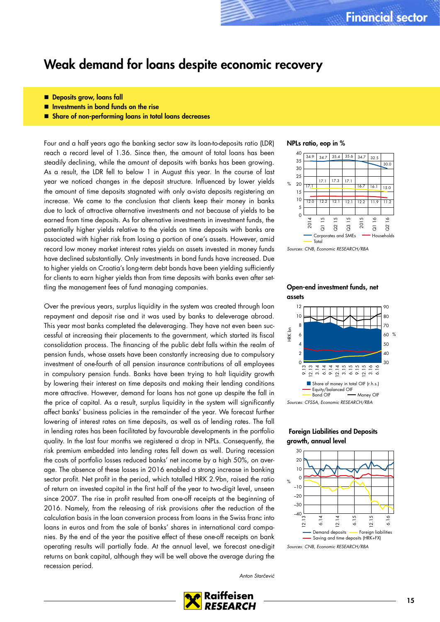### Weak demand for loans despite economic recovery

- **Deposits grow, loans fall**
- $\blacksquare$  Investments in bond funds on the rise
- **E** Share of non-performing loans in total loans decreases

Four and a half years ago the banking sector saw its loan-to-deposits ratio (LDR) reach a record level of 1.36. Since then, the amount of total loans has been steadily declining, while the amount of deposits with banks has been growing. As a result, the LDR fell to below 1 in August this year. In the course of last year we noticed changes in the deposit structure. Influenced by lower yields the amount of time deposits stagnated with only a-vista deposits registering an increase. We came to the conclusion that clients keep their money in banks due to lack of attractive alternative investments and not because of yields to be earned from time deposits. As for alternative investments in investment funds, the potentially higher yields relative to the yields on time deposits with banks are associated with higher risk from losing a portion of one's assets. However, amid record low money market interest rates yields on assets invested in money funds have declined substantially. Only investments in bond funds have increased. Due to higher yields on Croatia's long-term debt bonds have been yielding sufficiently for clients to earn higher yields than from time deposits with banks even after settling the management fees of fund managing companies.

Over the previous years, surplus liquidity in the system was created through loan repayment and deposit rise and it was used by banks to deleverage abroad. This year most banks completed the deleveraging. They have not even been successful at increasing their placements to the government, which started its fiscal consolidation process. The financing of the public debt falls within the realm of pension funds, whose assets have been constantly increasing due to compulsory investment of one-fourth of all pension insurance contributions of all employees in compulsory pension funds. Banks have been trying to halt liquidity growth by lowering their interest on time deposits and making their lending conditions more attractive. However, demand for loans has not gone up despite the fall in the price of capital. As a result, surplus liquidity in the system will significantly affect banks' business policies in the remainder of the year. We forecast further lowering of interest rates on time deposits, as well as of lending rates. The fall in lending rates has been facilitated by favourable developments in the portfolio quality. In the last four months we registered a drop in NPLs. Consequently, the risk premium embedded into lending rates fell down as well. During recession the costs of portfolio losses reduced banks' net income by a high 50%, on average. The absence of these losses in 2016 enabled a strong increase in banking sector profit. Net profit in the period, which totalled HRK 2.9bn, raised the ratio of return on invested capital in the first half of the year to two-digit level, unseen since 2007. The rise in profit resulted from one-off receipts at the beginning of 2016. Namely, from the releasing of risk provisions after the reduction of the calculation basis in the loan conversion process from loans in the Swiss franc into loans in euros and from the sale of banks' shares in international card companies. By the end of the year the positive effect of these one-off receipts on bank operating results will partially fade. At the annual level, we forecast one-digit returns on bank capital, although they will be well above the average during the recession period.





Sources: CNB, Economic RESEARCH/RBA





### Foreign Liabilities and Deposits growth, annual level



Sources: CNB, Economic RESEARCH/RBA

Anton Starčević

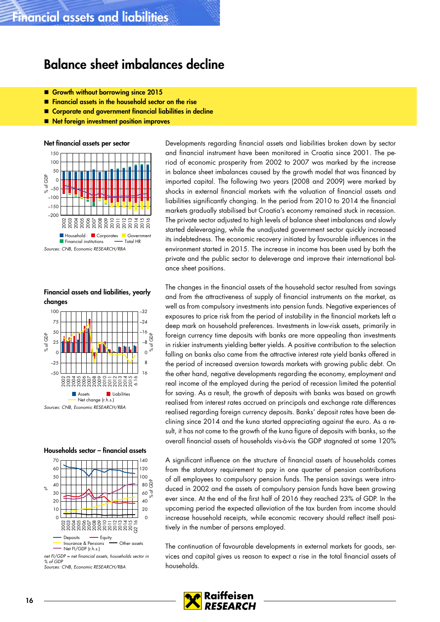### Balance sheet imbalances decline

- Growth without borrowing since 2015
- **Financial assets in the household sector on the rise**
- Corporate and government financial liabilities in decline
- Net foreign investment position improves

Net financial assets per sector



Financial assets and liabilities, yearly changes



#### Households sector – financial assets



Sources: CNB, Economic RESEARCH/RBA

Developments regarding financial assets and liabilities broken down by sector and financial instrument have been monitored in Croatia since 2001. The period of economic prosperity from 2002 to 2007 was marked by the increase in balance sheet imbalances caused by the growth model that was financed by imported capital. The following two years (2008 and 2009) were marked by shocks in external financial markets with the valuation of financial assets and liabilities significantly changing. In the period from 2010 to 2014 the financial markets gradually stabilised but Croatia's economy remained stuck in recession. The private sector adjusted to high levels of balance sheet imbalances and slowly started deleveraging, while the unadjusted government sector quickly increased its indebtedness. The economic recovery initiated by favourable influences in the environment started in 2015. The increase in income has been used by both the private and the public sector to deleverage and improve their international balance sheet positions.

The changes in the financial assets of the household sector resulted from savings and from the attractiveness of supply of financial instruments on the market, as well as from compulsory investments into pension funds. Negative experiences of exposures to price risk from the period of instability in the financial markets left a deep mark on household preferences. Investments in low-risk assets, primarily in foreign currency time deposits with banks are more appealing than investments in riskier instruments yielding better yields. A positive contribution to the selection falling on banks also came from the attractive interest rate yield banks offered in the period of increased aversion towards markets with growing public debt. On the other hand, negative developments regarding the economy, employment and real income of the employed during the period of recession limited the potential for saving. As a result, the growth of deposits with banks was based on growth realised from interest rates accrued on principals and exchange rate differences realised regarding foreign currency deposits. Banks' deposit rates have been declining since 2014 and the kuna started appreciating against the euro. As a result, it has not come to the growth of the kuna figure of deposits with banks, so the overall financial assets of households vis-à-vis the GDP stagnated at some 120%

A significant influence on the structure of financial assets of households comes from the statutory requirement to pay in one quarter of pension contributions of all employees to compulsory pension funds. The pension savings were introduced in 2002 and the assets of compulsory pension funds have been growing ever since. At the end of the first half of 2016 they reached 23% of GDP. In the upcoming period the expected alleviation of the tax burden from income should increase household receipts, while economic recovery should reflect itself positively in the number of persons employed.

The continuation of favourable developments in external markets for goods, services and capital gives us reason to expect a rise in the total financial assets of households.

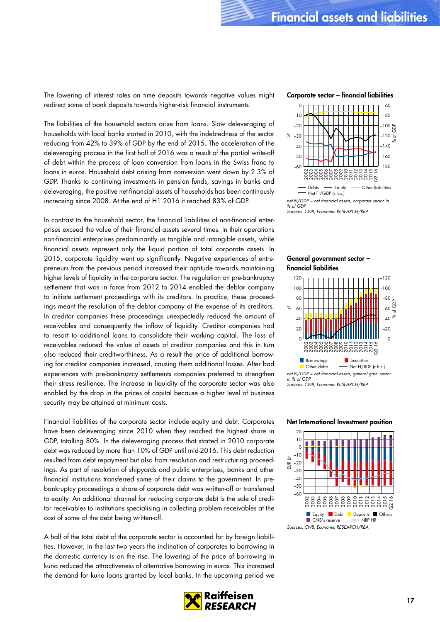The lowering of interest rates on time deposits towards negative values might redirect some of bank deposits towards higher-risk financial instruments.

The liabilities of the household sectors arise from loans. Slow deleveraging of households with local banks started in 2010, with the indebtedness of the sector reducing from 42% to 39% of GDP by the end of 2015. The acceleration of the deleveraging process in the first half of 2016 was a result of the partial write-off of debt within the process of loan conversion from loans in the Swiss franc to loans in euros. Household debt arising from conversion went down by 2.3% of GDP. Thanks to continuing investments in pension funds, savings in banks and deleveraging, the positive net-financial assets of households has been continously increasing since 2008. At the end of H1 2016 it reached 83% of GDP.

In contrast to the household sector, the financial liabilities of non-financial enterprises exceed the value of their financial assets several times. In their operations non-financial enterprises predominantly us tangible and intangible assets, while financial assets represent only the liquid portion of total corporate assets. In 2015, corporate liquidity went up significantly. Negative experiences of entrepreneurs from the previous period increased their aptitude towards maintaining higher levels of liquidity in the corporate sector. The regulation on pre-bankruptcy settlement that was in force from 2012 to 2014 enabled the debtor company to initiate settlement proceedings with its creditors. In practice, these proceedings meant the resolution of the debtor company at the expense of its creditors. In creditor companies these proceedings unexpectedly reduced the amount of receivables and consequently the inflow of liquidity. Creditor companies had to resort to additional loans to consolidate their working capital. The loss of receivables reduced the value of assets of creditor companies and this in turn also reduced their creditworthiness. As a result the price of additional borrowing for creditor companies increased, causing them additional losses. After bad experiences with pre-bankruptcy settlements companies preferred to strengthen their stress resilience. The increase in liquidity of the corporate sector was also enabled by the drop in the prices of capital because a higher level of business security may be attained at minimum costs.

Financial liabilities of the corporate sector include equity and debt. Corporates have been deleveraging since 2010 when they reached the highest share in GDP, totalling 80%. In the deleveraging process that started in 2010 corporate debt was reduced by more than 10% of GDP until mid-2016. This debt reduction resulted from debt repayment but also from resolution and restructuring proceedings. As part of resolution of shipyards and public enterprises, banks and other financial institutions transferred some of their claims to the government. In prebankruptcy proceedings a share of corporate debt was written-off or transferred to equity. An additional channel for reducing corporate debt is the sale of creditor receivables to institutions specialising in collecting problem receivables at the cost of some of the debt being written-off.

A half of the total debt of the corporate sector is accounted for by foreign liabilities. However, in the last two years the inclination of corporates to borrowing in the domestic currency is on the rise. The lowering of the price of borrowing in kuna reduced the attractiveness of alternative borrowing in euros. This increased the demand for kuna loans granted by local banks. In the upcoming period we

**RESEARCH** 

120

#### Net International Investment position



#### Corporate sector – financial liabilities







–120

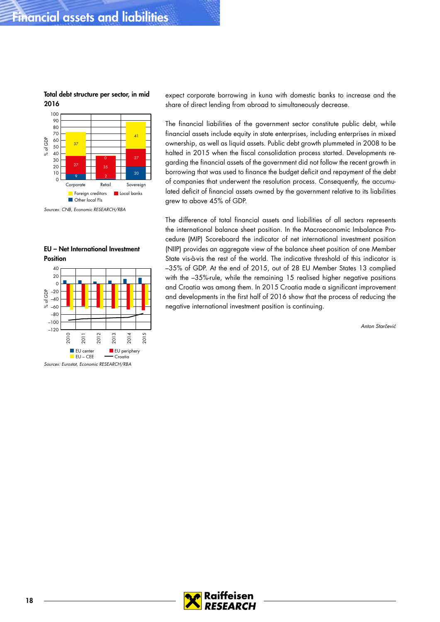

Total debt structure per sector, in mid 2016

Sources: CNB, Economic RESEARCH/RBA

### EU – Net International Investment **Position**



Sources: Eurostat, Economic RESEARCH/RBA

expect corporate borrowing in kuna with domestic banks to increase and the share of direct lending from abroad to simultaneously decrease.

The financial liabilities of the government sector constitute public debt, while financial assets include equity in state enterprises, including enterprises in mixed ownership, as well as liquid assets. Public debt growth plummeted in 2008 to be halted in 2015 when the fiscal consolidation process started. Developments regarding the financial assets of the government did not follow the recent growth in borrowing that was used to finance the budget deficit and repayment of the debt of companies that underwent the resolution process. Consequently, the accumulated deficit of financial assets owned by the government relative to its liabilities grew to above 45% of GDP.

The difference of total financial assets and liabilities of all sectors represents the international balance sheet position. In the Macroeconomic Imbalance Procedure (MIP) Scoreboard the indicator of net international investment position (NIIP) provides an aggregate view of the balance sheet position of one Member State vis-à-vis the rest of the world. The indicative threshold of this indicator is –35% of GDP. At the end of 2015, out of 28 EU Member States 13 complied with the –35%-rule, while the remaining 15 realised higher negative positions and Croatia was among them. In 2015 Croatia made a significant improvement and developments in the first half of 2016 show that the process of reducing the negative international investment position is continuing.

Anton Starčević

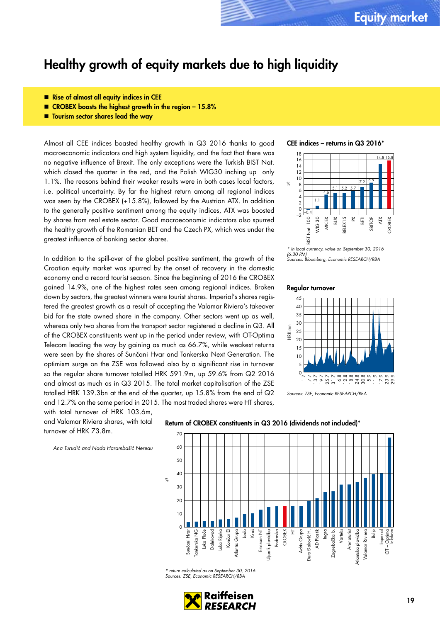### Healthy growth of equity markets due to high liquidity

- Rise of almost all equity indices in CEE
- CROBEX boasts the highest growth in the region 15.8%
- **The Tourism sector shares lead the way**

Almost all CEE indices boasted healthy growth in Q3 2016 thanks to good macroeconomic indicators and high system liquidity, and the fact that there was no negative influence of Brexit. The only exceptions were the Turkish BIST Nat. which closed the quarter in the red, and the Polish WIG30 inching up only 1.1%. The reasons behind their weaker results were in both cases local factors, i.e. political uncertainty. By far the highest return among all regional indices was seen by the CROBEX (+15.8%), followed by the Austrian ATX. In addition to the generally positive sentiment among the equity indices, ATX was boosted by shares from real estate sector. Good macroeconomic indicators also spurred the healthy growth of the Romanian BET and the Czech PX, which was under the greatest influence of banking sector shares.

In addition to the spill-over of the global positive sentiment, the growth of the Croatian equity market was spurred by the onset of recovery in the domestic economy and a record tourist season. Since the beginning of 2016 the CROBEX gained 14.9%, one of the highest rates seen among regional indices. Broken down by sectors, the greatest winners were tourist shares. Imperial's shares registered the greatest growth as a result of accepting the Valamar Riviera's takeover bid for the state owned share in the company. Other sectors went up as well, whereas only two shares from the transport sector registered a decline in Q3. All of the CROBEX constituents went up in the period under review, with OT-Optima Telecom leading the way by gaining as much as 66.7%, while weakest returns were seen by the shares of Sunčani Hvar and Tankerska Next Generation. The optimism surge on the ZSE was followed also by a significant rise in turnover so the regular share turnover totalled HRK 591.9m, up 59.6% from Q2 2016 and almost as much as in Q3 2015. The total market capitalisation of the ZSE totalled HRK 139.3bn at the end of the quarter, up 15.8% from the end of Q2 and 12.7% on the same period in 2015. The most traded shares were HT shares, with total turnover of HRK 103.6m,

 $\frac{1}{2}$ 





<sup>(6:30</sup> PM) Sources: Bloomberg, Economic RESEARCH/RBA

#### Regular turnover



Sources: ZSE, Economic RESEARCH/RBA

and Valamar Riviera shares, with total turnover of HRK 73.8m.

Ana Turudić and Nada Harambašić Nereau



#### Return of CROBEX constituents in Q3 2016 (dividends not included)\*

<sup>\*</sup> return calculated as on September 30, 2016 Sources: ZSE, Economic RESEARCH/RBA

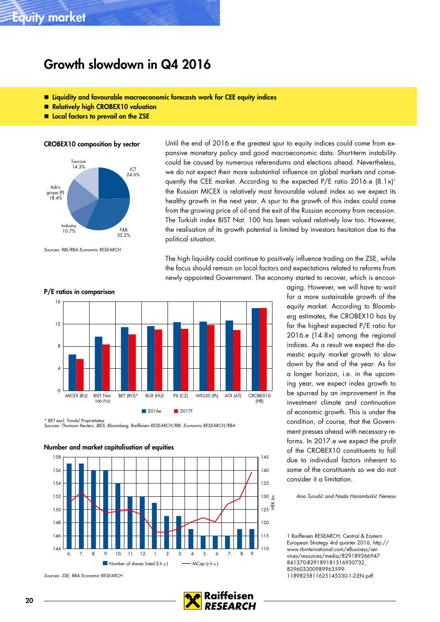# Growth slowdown in Q4 2016

- Liquidity and favourable macroeconomic forecasts work for CEE equity indices
- Relatively high CROBEX10 valuation
- **E** Local factors to prevail on the ZSE

#### CROBEX10 composition by sector



Sources: RBI/RBA Economic RESEARCH

Until the end of 2016.e the greatest spur to equity indices could come from expansive monetary policy and good macroeconomic data. Short-term instability could be caused by numerous referendums and elections ahead. Nevertheless, we do not expect their more substantial influence on global markets and consequently the CEE market. According to the expected P/E ratio 2016.e (8.1x)<sup>1</sup> the Russian MICEX is relatively most favourable valued index so we expect its healthy growth in the next year. A spur to the growth of this index could come from the growing price of oil and the exit of the Russian economy from recession. The Turkish index BIST Nat. 100 has been valued relatively low too. However, the realisation of its growth potential is limited by investors hesitation due to the political situation.

The high liquidity could continue to positively influence trading on the ZSE, while the focus should remain on local factors and expectations related to reforms from newly appointed Government. The economy started to recover, which is encour-



\* BET excl. Fondul Proprietatea Sources: Thomson Reuters, IBES, Bloomberg, Raiffeisen RESEARCH/RBI, Economic RESEARCH/RBA



Sources: ZSE, RBA Economic RESEARCH



aging. However, we will have to wait for a more sustainable growth of the equity market. According to Bloomberg estimates, the CROBEX10 has by far the highest expected P/E ratio for 2016.e (14.8×) among the regional indices. As a result we expect the domestic equity market growth to slow down by the end of the year. As for a longer horizon, i.e. in the upcoming year, we expect index growth to be spurred by an improvement in the investment climate and continuation of economic growth. This is under the condition, of course, that the Government presses ahead with necessary reforms. In 2017.e we expect the profit of the CROBEX10 constituents to fall due to individual factors inherent to some of the constituents so we do not consider it a limitation.

Ana Turudić and Nada Harambašić Nereau

1 Raiffeisen RESEARCH, Central & Eastern European Strategy 4rd quarter 2016, http:// www.rbinternational.com/eBusiness/services/resources/media/829189266947 841370-829189181316930732\_ 829603300989963599- 1189825811625145330-1-2-EN.pdf

#### P/E ratios in comparison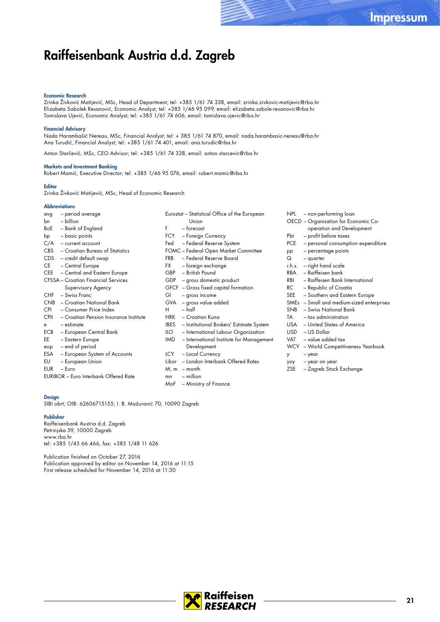## Raiffeisenbank Austria d.d. Zagreb

#### Economic Research

Zrinka Živković Matijević, MSc, Head of Department; tel: +385 1/61 74 338, email: zrinka.zivkovic-matijevic@rba.hr Elizabeta Sabolek Resanović, Economic Analyst; tel: +385 1/46 95 099, email: elizabeta.sabole-resanovic@rba.hr Tomislava Ujević, Economic Analyst; tel: +385 1/61 74 606, email: tomislava.ujevic@rba.hr

#### Financial Advisory

Nada Harambašić Nereau, MSc, Financial Analyst; tel: + 385 1/61 74 870, email: nada.harambasic-nereau@rba.hr Ana Turudić, Financial Analyst; tel: +385 1/61 74 401, email: ana.turudic@rba.hr

Anton Starčević, MSc, CEO Advisor; tel: +385 1/61 74 338, email: anton.starcevic@rba.hr

#### Markets and Investment Banking

Robert Mamić, Executive Director; tel: +385 1/46 95 076, email: robert.mamic@rba.hr

#### **Editor**

Zrinka Živković Matijević, MSc, Head of Economic Research

#### **Abbreviations**

| avg         | - period average                             | Eurostat – Statistical Office of the European          |  |
|-------------|----------------------------------------------|--------------------------------------------------------|--|
| bn          | - billion                                    | Union                                                  |  |
| BoE         | - Bank of England                            | f<br>– forecast                                        |  |
| bp          | - basic points                               | - Foreign Currency<br>FCY -                            |  |
| C/A         | - current account                            | - Federal Reserve System<br>Fed                        |  |
| <b>CBS</b>  | - Croatian Bureau of Statistics              | <b>FOMC</b> - Federal Open Market Committee            |  |
| CDS -       | - credit default swap                        | - Federal Reserve Board<br><b>FRB</b>                  |  |
| CE.         | - Central Europe                             | – foreign exchange<br>FX F                             |  |
| CEE         | - Central and Eastern Europe                 | - British Pound<br>GBP                                 |  |
|             | <b>CFSSA</b> – Croatian Financial Services   | GDP - gross domestic product                           |  |
|             | Supervisory Agency                           | GFCF – Gross fixed capital formation                   |  |
| CHF         | - Swiss Franc                                | - gross income<br>GI                                   |  |
| CNB         | - Croatian National Bank                     | - gross value added<br>GVA                             |  |
| <b>CPI</b>  | - Consumer Price Index                       | $-$ half<br>H                                          |  |
| <b>CPII</b> | - Croatian Pension Insurance Institute       | <b>HRK</b><br>- Croatian Kuna                          |  |
| e           | $-$ estimate                                 | - Institutional Brokers' Estimate System<br>IBES       |  |
| ECB         | - European Central Bank                      | - International Labour Organization<br>ILO             |  |
| EE          | - Eastern Europe                             | <b>IMD</b><br>- International Institute for Management |  |
| eop         | - end of period                              | Development                                            |  |
| ESA         | - European System of Accounts                | - Local Currency<br>LCY                                |  |
| EU          | - European Union                             | - London Interbank Offered Rates<br>Libor              |  |
| <b>EUR</b>  | - Euro                                       | M, m<br>– month                                        |  |
|             | <b>EURIBOR</b> - Euro Interbank Offered Rate | $-$ million<br>mn                                      |  |
|             |                                              | - Ministry of Finance<br>MoF                           |  |

#### Design

SIBI obrt; OIB: 62606715155; I. B. Mažuranić 70, 10090 Zagreb

#### Publisher

Raiffeisenbank Austria d.d. Zagreb Petrinjska 59, 10000 Zagreb www.rba.hr tel: +385 1/45 66 466, fax: +385 1/48 11 626

Publication finished on October 27, 2016 Publication approved by editor on November 14, 2016 at 11:15 First release scheduled for November 14, 2016 at 11:30

|                | NPL – non-performing loan                 |
|----------------|-------------------------------------------|
|                | OECD - Organisation for Economic Co-      |
|                | operation and Development                 |
| Pbt            | - profit before taxes                     |
|                | PCE - personal consumption expenditure    |
| pp             | - percentage points                       |
|                | $Q - quarter$                             |
|                | r.h.s. - right hand scale                 |
|                | RBA - Raiffeisen bank                     |
|                | RBI – Raiffeisen Bank International       |
| RC and the RC. | – Republic of Croatia                     |
|                | SEE - Southern and Eastern Europe         |
|                | SMEs - Small and medium-sized enterprises |
|                | SNB - Swiss National Bank                 |
|                | $TA = tax$ administration                 |
|                | USA – United States of America            |
|                | USD - US Dollar                           |
|                | VAT - value added tax                     |
|                | WCY - World Competitiveness Yearbook      |
| у              | – year                                    |

yoy – year on year

ZSE – Zagreb Stock Exchange

**RESEARCH**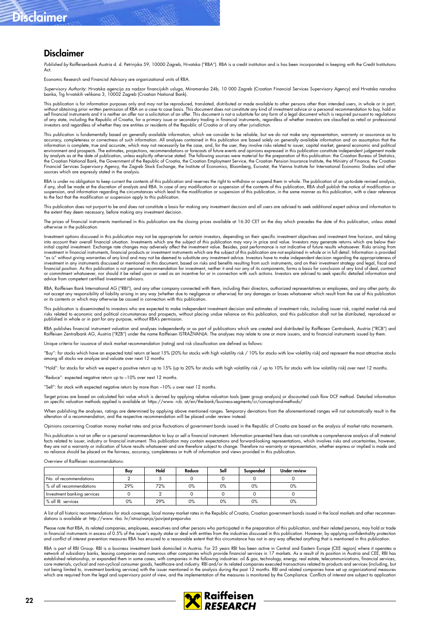# Disclaimer

### Disclaimer

Published by Raiffeisenbank Austria d. d. Petrinjska 59, 10000 Zagreb, Hrvatska ("RBA"). RBA is a credit institution and is has been incorporated in keeping with the Credit Institutions  $\Delta$ ct

Economic Research and Financial Advisory are organizational units of RBA.

Supervisory Authority: Hrvatska agencija za nadzor tinancijskih usluga, Miramarska 24b, 10 000 Zagreb (Croatian Financial Services Supervisory Agency) and Hrvatska narodna<br>banka, Trg hrvatskih velikana 3, 10002 Zagreb (Cro

This publication is for information purposes only and may not be reproduced, translated, distributed or made available to other persons other than intended users, in whole or in part, without obtaining prior written permission of RBA on a case to case basis. This document does not constitute any kind of investment advice or a personal recommendation to buy, hold or<br>sell financial instruments and it is n investors and regardless of whether they are entities or residents of the Republic of Croatia or of any other jurisdiction.

This publication is fundamentally based on generally available information, which we consider to be reliable, but we do not make any representation, warranty or assurance as to accuracy, completeness or correctness of such information. All analyses contained in this publication are based solely on generally available information and on assumption that the<br>information is complete, true and accurat environment and prospects. The estimates, projections, recommendations or forecasts of future events and opinions expressed in this publication constitute independent judgement made<br>by analysts as at the date of publicatio the Croatian National Bank, the Government of the Republic of Croatia, the Croatian Employment Service, the Croatian Pension Insurance Institute, the Ministry of Finance, the Croatian Financial Services Supervisory Agency, the Zagreb Stock Exchange, the Institute of Economics, Bloomberg, Eurostat, the Vienna Institute for International Economic Studies and other<br>sources which are expressly stated in the

RBA is under no obligation to keep current the contents of this publication and reserves the right to withdraw or suspend them in whole. The publication of an up-to-date revised analysis, if any, shall be made at the discretion of analysts and RBA. In case of any modification or suspension of the contents of this publication, RBA shall publish the notice of modification or suspension, and information regarding the circumstances which lead to the modification or suspension of this publication, in the same manner as this publication, with a clear reference<br>to the fact that the modification or

This publication does not purport to be and does not constitute a basis for making any investment decision and all users are advised to seek additional expert advice and information to the extent they deem necessary, before making any investment decision.

The prices of financial instruments mentioned in this publication are the closing prices available at 16:30 CET on the day which precedes the date of this publication, unless stated otherwise in the publication.

Investment options discussed in this publication may not be appropriate for certain investors, depending on their specific investment objectives and investment time horizon, and taking into account their overall financial situation. Investments which are the subject of this publication may vary in price and value. Investors may generate returns which are below their<br>initial capital investment. Exchange r investment in tinancial instruments, tinancial products or investment instruments which are the subject of this publication are not explained in whole or in tull detail. Intormation is provided<br>"as is" without giving warra investment in any instruments discussed or mentioned in this document, based on risks and benefits resulting from such instruments, and on their investment strategy and legal, fiscal and financial position. As this publication is not personal recommendation for investment, neither it and nor any of its components, forms a basis for conclusion of any kind of deal, contract<br>or commitment whatsoever, nor shou advice from competent certified investment advisors.

RBA, Raiffeisen Bank International AG ("RBI"), and any other company connected with them, including their directors, authorized representatives or employees, and any other party, do<br>not accept any responsibility of liabili

This publication is disseminated to investors who are expected to make independent investment decision and estimates of investment risks, including issuer risk, capital market risk and risks related to economic and political circumstances and prospects, without placing undue reliance on this publication, and this publication shall not be distributed, reproduced or<br>published in whole or in part for any pu

RBA publishes financial instrument valuation and analyses independently or as part of publications which are created and distributed by Raitfeisen Centrobank, Austria ("RCB") and<br>Raiffeisen Zentralbank AG, Austria ("RZB")

criteria for issuance of stock market recommendation (rating) and risk classification are defined as follows:

"Buy": for stocks which have an expected total return at least 15% (20% for stocks with high volatility risk / 10% for stocks with low volatility risk) and represent the most attractive stocks<br>among all stocks we analyze a

"Hold": for stocks for which we expect a positive return up to 15% (up to 20% for stocks with high volatility risk / up to 10% for stocks with low volatility risk) over next 12 months.

"Reduce": expected negative return up to –10% over next 12 months.

"Sell": for stock with expected negative return by more than –10% u over next 12 months.

Target prices are based on calculated fair value which is derived by applying relative valuation tools (peer group analysis) or discounted cash flow DCF method. Detailed information<br>on specific valuation methods applied is

When publishing the analyses, ratings are determined by applying above mentioned ranges. Temporary deviations from the aforementioned ranges will not automatically result in the<br>alteration of a recommendation, and the resp

Opinions concerning Croatian money market rates and price fluctuations of government bonds issued in the Republic of Croatia are based on the analysis of market ratio movements.

This publication is not an offer or a personal recommendation to buy or sell a financial instrument. Information presented here does not constitute a comprehensive analysis of all material<br>thats related to issuer, industry

Overview of Raiffeisen recommendations:

|                             | Buy | Hold | Reduce | Sell | Suspended | Under review |
|-----------------------------|-----|------|--------|------|-----------|--------------|
| No. of recommendations      |     |      |        |      |           |              |
| & of all recommendations    | 29% | 72%  | 0%     | 0%   | 0%        | 0%           |
| Investment banking services |     |      |        |      |           |              |
| % all IB services           | 0%  | 29%  | $0\%$  | 0%   | 0%        | 0%           |

A list of all historic recommendations for stock coverage, local money market rates in the Republic of Croatia, Croatian government bonds issued in the local markets and other recommendations is available at: http://www. rba. hr/istrazivanja/povijest-preporuka

Please note that RBA, its related companies, employees, executives and other persons who participated in the preparation of this publication, and their related persons, may hold or trade<br>in financial instruments in excess and conflict of interest prevention measures RBA has ensured to a reasonable extent that this circumstance has not in any way affected anything that is mentioned in this publication.

RBA is part of RBI Group. RBI is a business investment bank domiciled in Austria. For 25 years RBI has been active in Central and Eastern Europe (CEE region) where it operates a<br>network of subsidiary banks, leasing compani established relationship, or expanded them in some cases, with companies in the following industries: oil & gas, technology, energy, real estate, telecommunications, financial services, core materials, cyclical and non-cyclical consumer goods, healthcare and industry. RBI and/or its related companies executed transactions related to products and services (including, but<br>not being limited to, investment ba